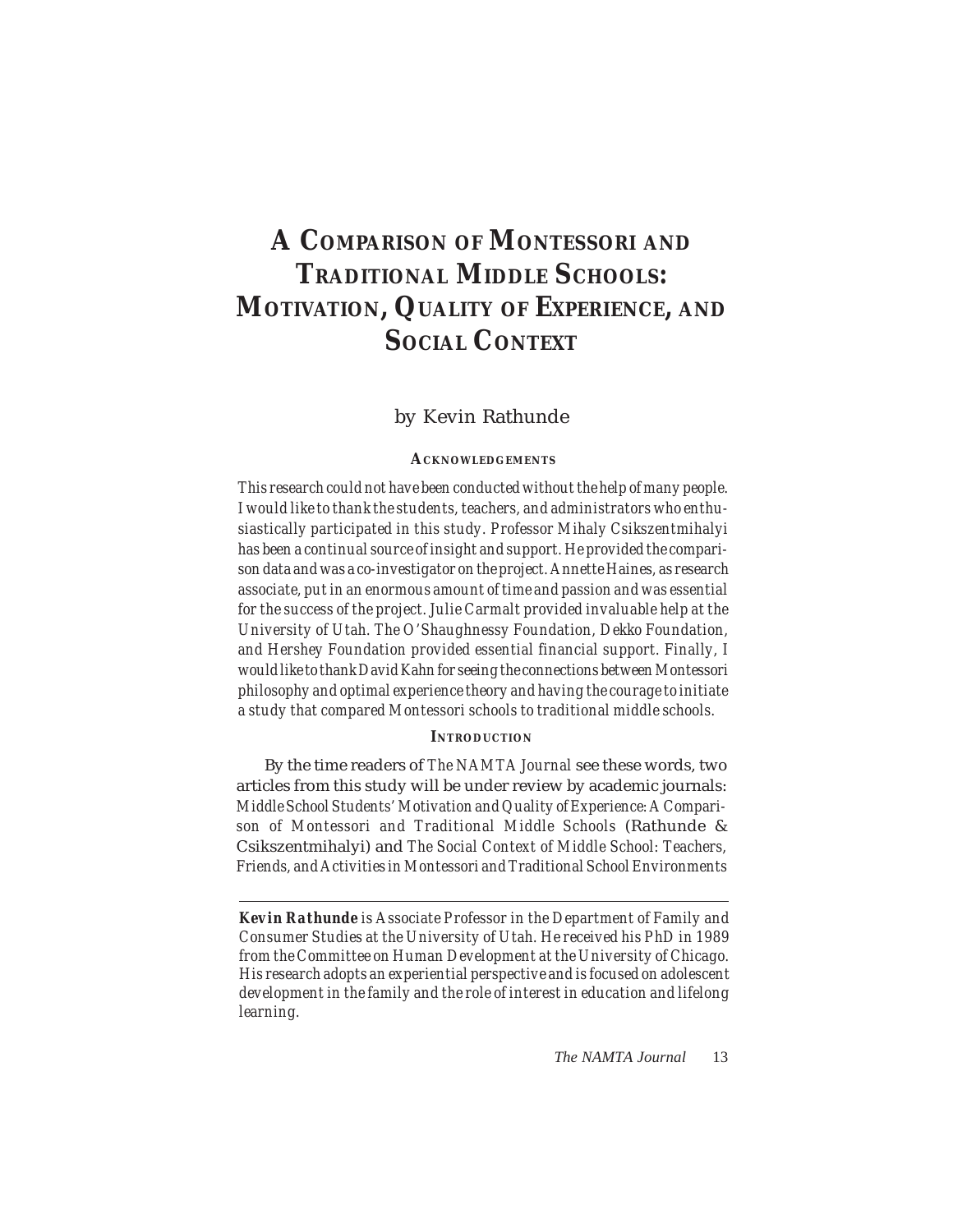# **A COMPARISON OF MONTESSORI AND TRADITIONAL MIDDLE SCHOOLS: MOTIVATION, QUALITY OF EXPERIENCE, AND SOCIAL CONTEXT**

# by Kevin Rathunde

#### **ACKNOWLEDGEMENTS**

*This research could not have been conducted without the help of many people. I would like to thank the students, teachers, and administrators who enthusiastically participated in this study. Professor Mihaly Csikszentmihalyi has been a continual source of insight and support. He provided the comparison data and was a co-investigator on the project. Annette Haines, as research associate, put in an enormous amount of time and passion and was essential for the success of the project. Julie Carmalt provided invaluable help at the University of Utah. The O'Shaughnessy Foundation, Dekko Foundation, and Hershey Foundation provided essential financial support. Finally, I would like to thank David Kahn for seeing the connections between Montessori philosophy and optimal experience theory and having the courage to initiate a study that compared Montessori schools to traditional middle schools.*

# **INTRODUCTION**

By the time readers of *The NAMTA Journal* see these words, two articles from this study will be under review by academic journals: *Middle School Students' Motivation and Quality of Experience: A Comparison of Montessori and Traditional Middle Schools* (Rathunde & Csikszentmihalyi) and *The Social Context of Middle School: Teachers, Friends, and Activities in Montessori and Traditional School Environments*

*Kevin Rathunde is Associate Professor in the Department of Family and Consumer Studies at the University of Utah. He received his PhD in 1989 from the Committee on Human Development at the University of Chicago. His research adopts an experiential perspective and is focused on adolescent development in the family and the role of interest in education and lifelong learning.*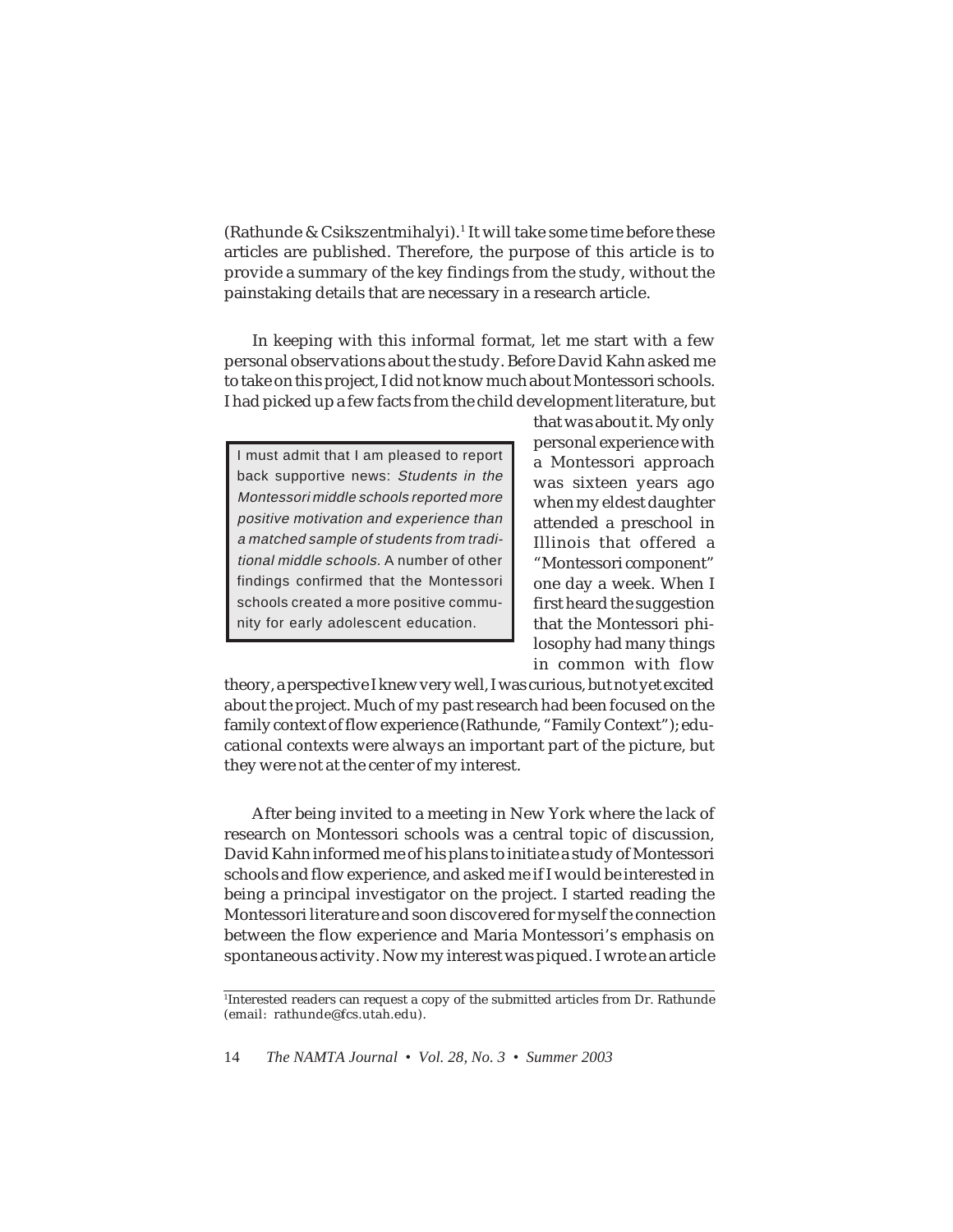(Rathunde & Csikszentmihalyi).<sup>1</sup> It will take some time before these articles are published. Therefore, the purpose of this article is to provide a summary of the key findings from the study, without the painstaking details that are necessary in a research article.

In keeping with this informal format, let me start with a few personal observations about the study. Before David Kahn asked me to take on this project, I did not know much about Montessori schools. I had picked up a few facts from the child development literature, but that was about it. My only

I must admit that I am pleased to report back supportive news: Students in the Montessori middle schools reported more positive motivation and experience than a matched sample of students from traditional middle schools. A number of other findings confirmed that the Montessori schools created a more positive community for early adolescent education.

personal experience with a Montessori approach was sixteen years ago when my eldest daughter attended a preschool in Illinois that offered a "Montessori component" one day a week. When I first heard the suggestion that the Montessori philosophy had many things in common with flow

theory, a perspective I knew very well, I was curious, but not yet excited about the project. Much of my past research had been focused on the family context of flow experience (Rathunde, "Family Context"); educational contexts were always an important part of the picture, but they were not at the center of my interest.

After being invited to a meeting in New York where the lack of research on Montessori schools was a central topic of discussion, David Kahn informed me of his plans to initiate a study of Montessori schools and flow experience, and asked me if I would be interested in being a principal investigator on the project. I started reading the Montessori literature and soon discovered for myself the connection between the flow experience and Maria Montessori's emphasis on spontaneous activity. Now my interest was piqued. I wrote an article

<sup>1</sup> Interested readers can request a copy of the submitted articles from Dr. Rathunde (email: rathunde@fcs.utah.edu).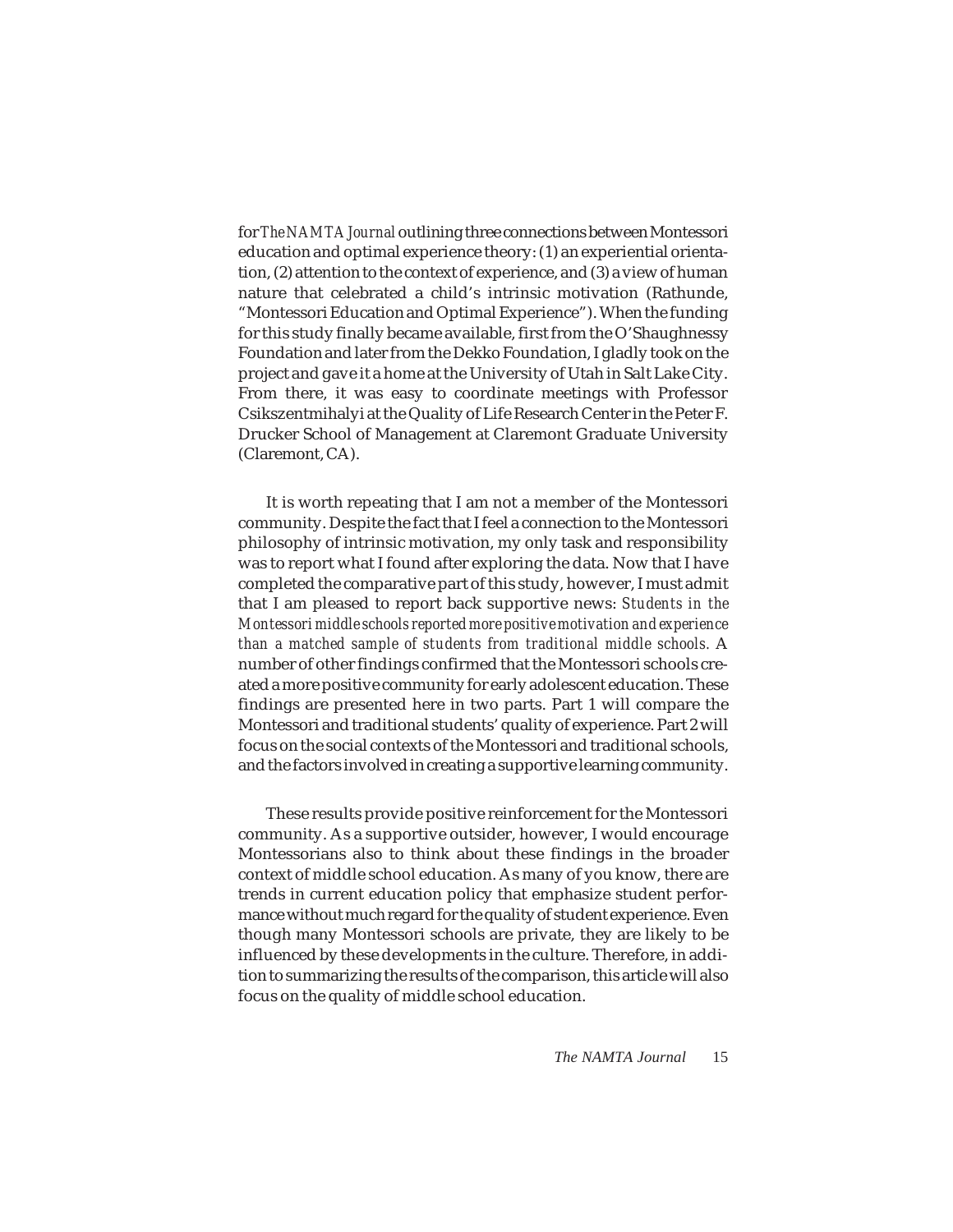for *The NAMTA Journal* outlining three connections between Montessori education and optimal experience theory: (1) an experiential orientation, (2) attention to the context of experience, and (3) a view of human nature that celebrated a child's intrinsic motivation (Rathunde, "Montessori Education and Optimal Experience"). When the funding for this study finally became available, first from the O'Shaughnessy Foundation and later from the Dekko Foundation, I gladly took on the project and gave it a home at the University of Utah in Salt Lake City. From there, it was easy to coordinate meetings with Professor Csikszentmihalyi at the Quality of Life Research Center in the Peter F. Drucker School of Management at Claremont Graduate University (Claremont, CA).

It is worth repeating that I am not a member of the Montessori community. Despite the fact that I feel a connection to the Montessori philosophy of intrinsic motivation, my only task and responsibility was to report what I found after exploring the data. Now that I have completed the comparative part of this study, however, I must admit that I am pleased to report back supportive news: *Students in the Montessori middle schools reported more positive motivation and experience than a matched sample of students from traditional middle schools.* A number of other findings confirmed that the Montessori schools created a more positive community for early adolescent education. These findings are presented here in two parts. Part 1 will compare the Montessori and traditional students' quality of experience. Part 2 will focus on the social contexts of the Montessori and traditional schools, and the factors involved in creating a supportive learning community.

These results provide positive reinforcement for the Montessori community. As a supportive outsider, however, I would encourage Montessorians also to think about these findings in the broader context of middle school education. As many of you know, there are trends in current education policy that emphasize student performance without much regard for the quality of student experience. Even though many Montessori schools are private, they are likely to be influenced by these developments in the culture. Therefore, in addition to summarizing the results of the comparison, this article will also focus on the quality of middle school education.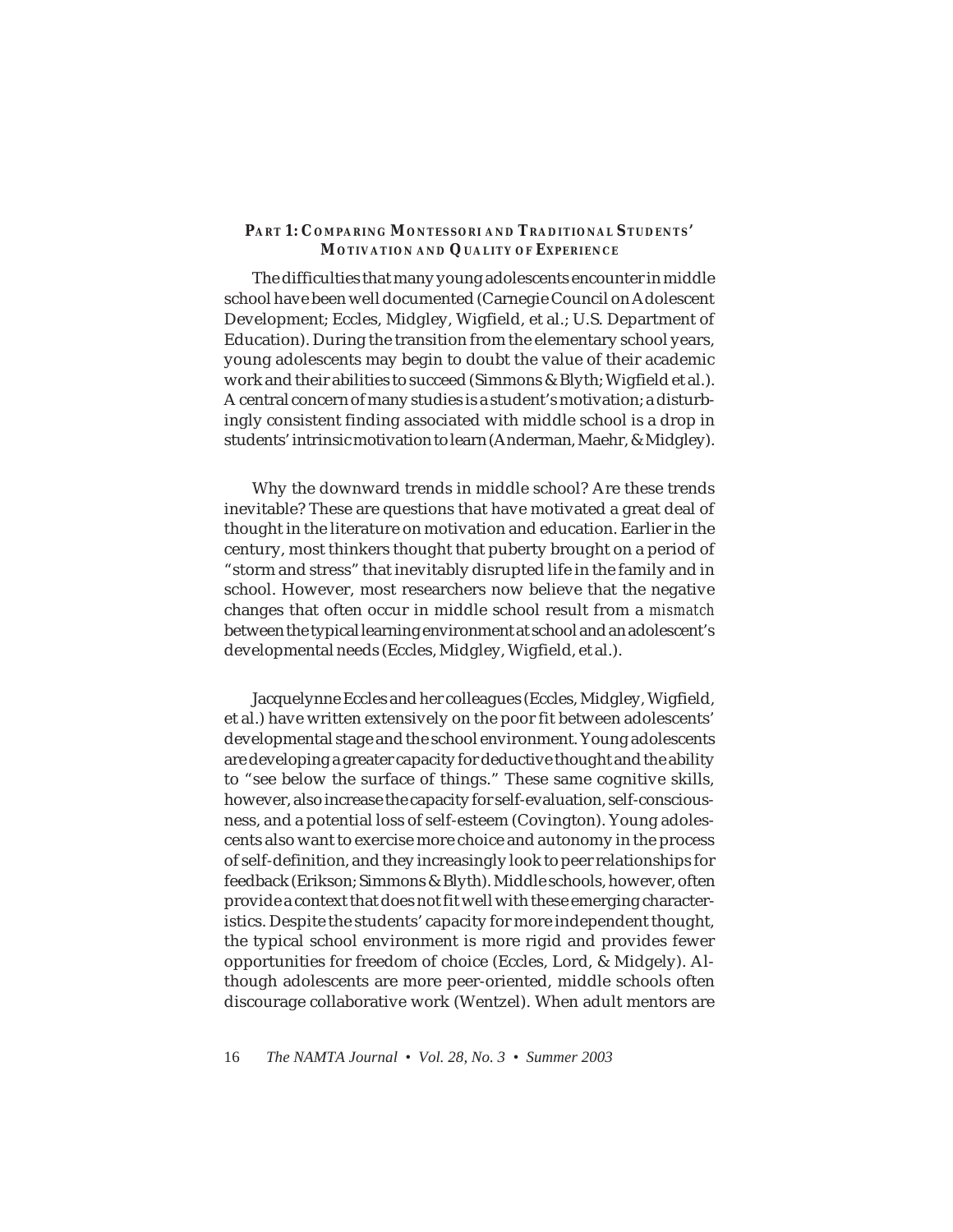#### **PART 1: COMPARING MONTESSORI AND TRADITIONAL STUDENTS' MOTIVATION AND QUALITY OF EXPERIENCE**

The difficulties that many young adolescents encounter in middle school have been well documented (Carnegie Council on Adolescent Development; Eccles, Midgley, Wigfield, et al.; U.S. Department of Education). During the transition from the elementary school years, young adolescents may begin to doubt the value of their academic work and their abilities to succeed (Simmons & Blyth; Wigfield et al.). A central concern of many studies is a student's motivation; a disturbingly consistent finding associated with middle school is a drop in students' intrinsic motivation to learn (Anderman, Maehr, & Midgley).

Why the downward trends in middle school? Are these trends inevitable? These are questions that have motivated a great deal of thought in the literature on motivation and education. Earlier in the century, most thinkers thought that puberty brought on a period of "storm and stress" that inevitably disrupted life in the family and in school. However, most researchers now believe that the negative changes that often occur in middle school result from a *mismatch* between the typical learning environment at school and an adolescent's developmental needs (Eccles, Midgley, Wigfield, et al.).

Jacquelynne Eccles and her colleagues (Eccles, Midgley, Wigfield, et al.) have written extensively on the poor fit between adolescents' developmental stage and the school environment. Young adolescents are developing a greater capacity for deductive thought and the ability to "see below the surface of things." These same cognitive skills, however, also increase the capacity for self-evaluation, self-consciousness, and a potential loss of self-esteem (Covington). Young adolescents also want to exercise more choice and autonomy in the process of self-definition, and they increasingly look to peer relationships for feedback (Erikson; Simmons & Blyth). Middle schools, however, often provide a context that does not fit well with these emerging characteristics. Despite the students' capacity for more independent thought, the typical school environment is more rigid and provides fewer opportunities for freedom of choice (Eccles, Lord, & Midgely). Although adolescents are more peer-oriented, middle schools often discourage collaborative work (Wentzel). When adult mentors are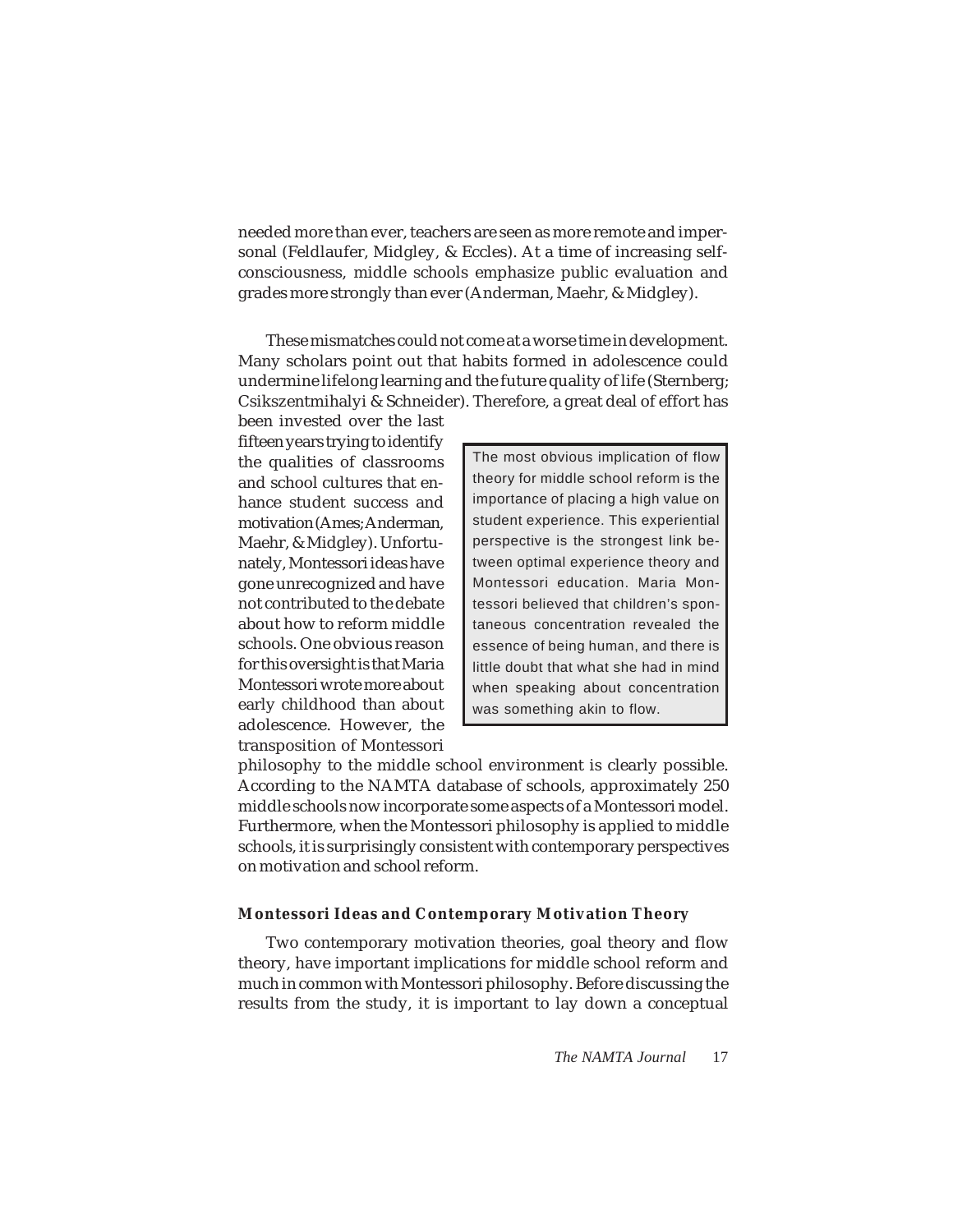needed more than ever, teachers are seen as more remote and impersonal (Feldlaufer, Midgley, & Eccles). At a time of increasing selfconsciousness, middle schools emphasize public evaluation and grades more strongly than ever (Anderman, Maehr, & Midgley).

These mismatches could not come at a worse time in development. Many scholars point out that habits formed in adolescence could undermine lifelong learning and the future quality of life (Sternberg; Csikszentmihalyi & Schneider). Therefore, a great deal of effort has

been invested over the last fifteen years trying to identify the qualities of classrooms and school cultures that enhance student success and motivation (Ames; Anderman, Maehr, & Midgley). Unfortunately, Montessori ideas have gone unrecognized and have not contributed to the debate about how to reform middle schools. One obvious reason for this oversight is that Maria Montessori wrote more about early childhood than about adolescence. However, the transposition of Montessori

The most obvious implication of flow theory for middle school reform is the importance of placing a high value on student experience. This experiential perspective is the strongest link between optimal experience theory and Montessori education. Maria Montessori believed that children's spontaneous concentration revealed the essence of being human, and there is little doubt that what she had in mind when speaking about concentration was something akin to flow.

philosophy to the middle school environment is clearly possible. According to the NAMTA database of schools, approximately 250 middle schools now incorporate some aspects of a Montessori model. Furthermore, when the Montessori philosophy is applied to middle schools, it is surprisingly consistent with contemporary perspectives on motivation and school reform.

#### **Montessori Ideas and Contemporary Motivation Theory**

Two contemporary motivation theories, goal theory and flow theory, have important implications for middle school reform and much in common with Montessori philosophy. Before discussing the results from the study, it is important to lay down a conceptual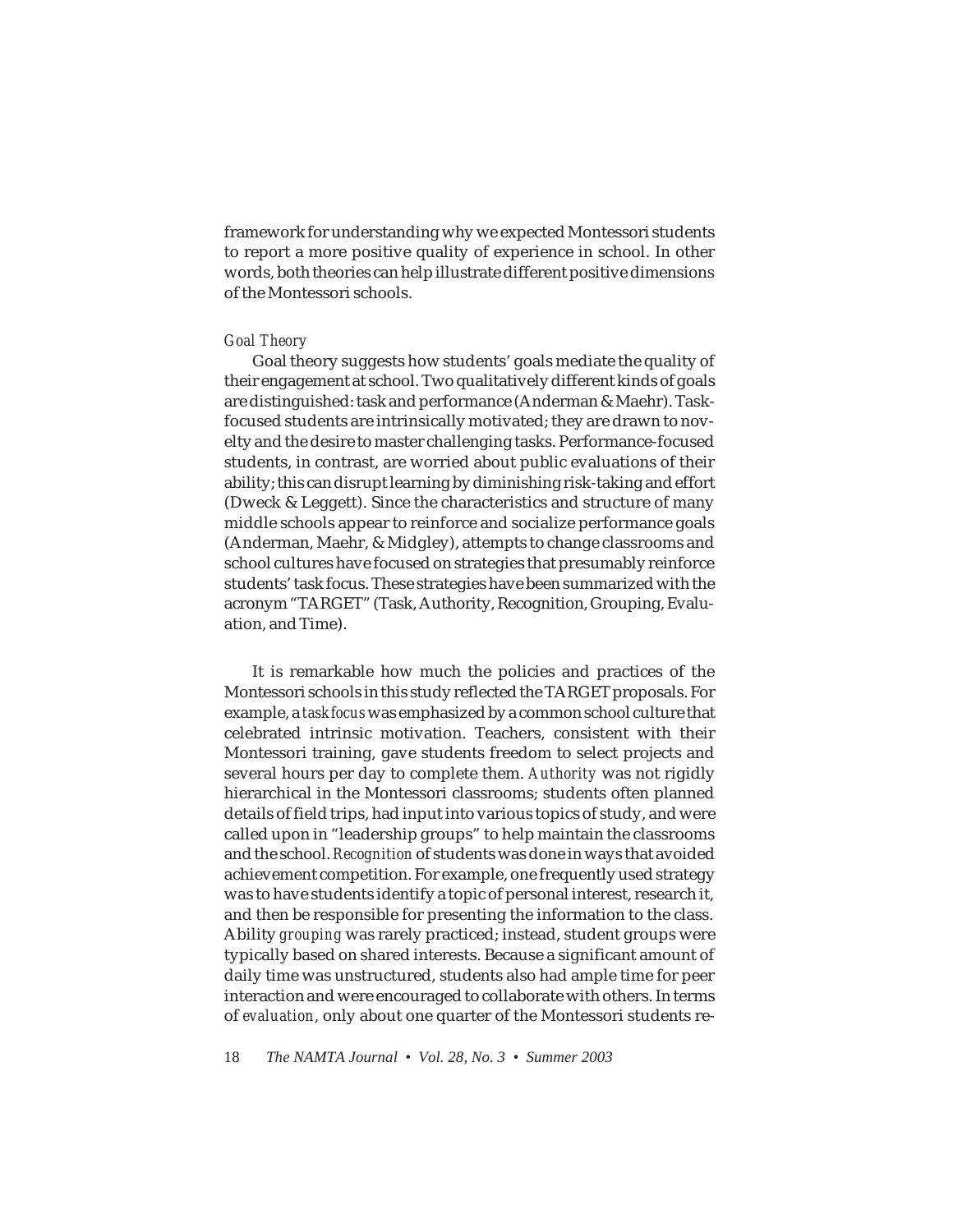framework for understanding why we expected Montessori students to report a more positive quality of experience in school. In other words, both theories can help illustrate different positive dimensions of the Montessori schools.

#### *Goal Theory*

Goal theory suggests how students' goals mediate the quality of their engagement at school. Two qualitatively different kinds of goals are distinguished: task and performance (Anderman & Maehr). Taskfocused students are intrinsically motivated; they are drawn to novelty and the desire to master challenging tasks. Performance-focused students, in contrast, are worried about public evaluations of their ability; this can disrupt learning by diminishing risk-taking and effort (Dweck & Leggett). Since the characteristics and structure of many middle schools appear to reinforce and socialize performance goals (Anderman, Maehr, & Midgley), attempts to change classrooms and school cultures have focused on strategies that presumably reinforce students' task focus. These strategies have been summarized with the acronym "TARGET" (Task, Authority, Recognition, Grouping, Evaluation, and Time).

It is remarkable how much the policies and practices of the Montessori schools in this study reflected the TARGET proposals. For example, a *task focus* was emphasized by a common school culture that celebrated intrinsic motivation. Teachers, consistent with their Montessori training, gave students freedom to select projects and several hours per day to complete them. *Authority* was not rigidly hierarchical in the Montessori classrooms; students often planned details of field trips, had input into various topics of study, and were called upon in "leadership groups" to help maintain the classrooms and the school. *Recognition* of students was done in ways that avoided achievement competition. For example, one frequently used strategy was to have students identify a topic of personal interest, research it, and then be responsible for presenting the information to the class. Ability *grouping* was rarely practiced; instead, student groups were typically based on shared interests. Because a significant amount of daily time was unstructured, students also had ample time for peer interaction and were encouraged to collaborate with others. In terms of *evaluation*, only about one quarter of the Montessori students re-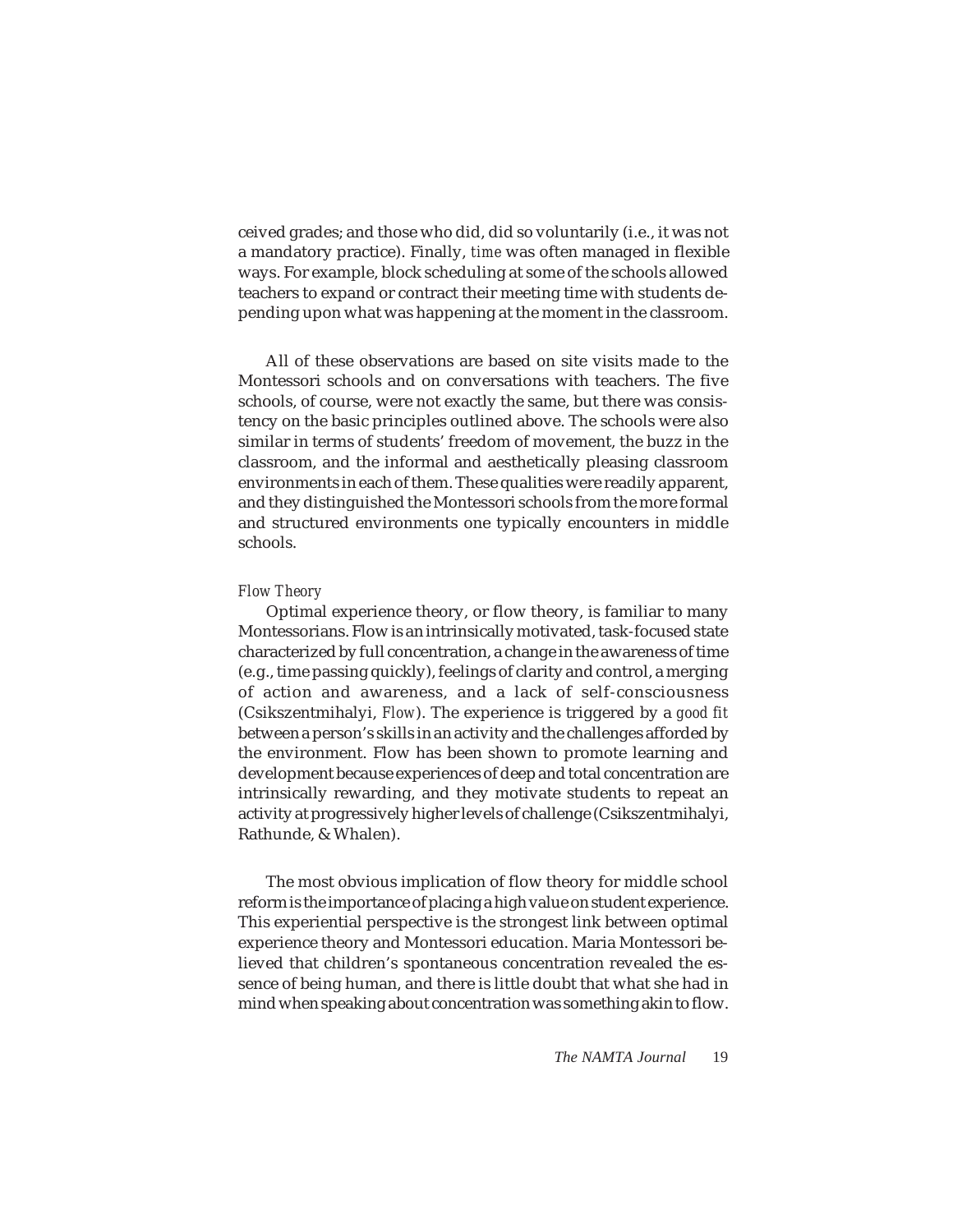ceived grades; and those who did, did so voluntarily (i.e., it was not a mandatory practice). Finally, *time* was often managed in flexible ways. For example, block scheduling at some of the schools allowed teachers to expand or contract their meeting time with students depending upon what was happening at the moment in the classroom.

All of these observations are based on site visits made to the Montessori schools and on conversations with teachers. The five schools, of course, were not exactly the same, but there was consistency on the basic principles outlined above. The schools were also similar in terms of students' freedom of movement, the buzz in the classroom, and the informal and aesthetically pleasing classroom environments in each of them. These qualities were readily apparent, and they distinguished the Montessori schools from the more formal and structured environments one typically encounters in middle schools.

#### *Flow Theory*

Optimal experience theory, or flow theory, is familiar to many Montessorians. Flow is an intrinsically motivated, task-focused state characterized by full concentration, a change in the awareness of time (e.g., time passing quickly), feelings of clarity and control, a merging of action and awareness, and a lack of self-consciousness (Csikszentmihalyi, *Flow*). The experience is triggered by a *good fit* between a person's skills in an activity and the challenges afforded by the environment. Flow has been shown to promote learning and development because experiences of deep and total concentration are intrinsically rewarding, and they motivate students to repeat an activity at progressively higher levels of challenge (Csikszentmihalyi, Rathunde, & Whalen).

The most obvious implication of flow theory for middle school reform is the importance of placing a high value on student experience. This experiential perspective is the strongest link between optimal experience theory and Montessori education. Maria Montessori believed that children's spontaneous concentration revealed the essence of being human, and there is little doubt that what she had in mind when speaking about concentration was something akin to flow.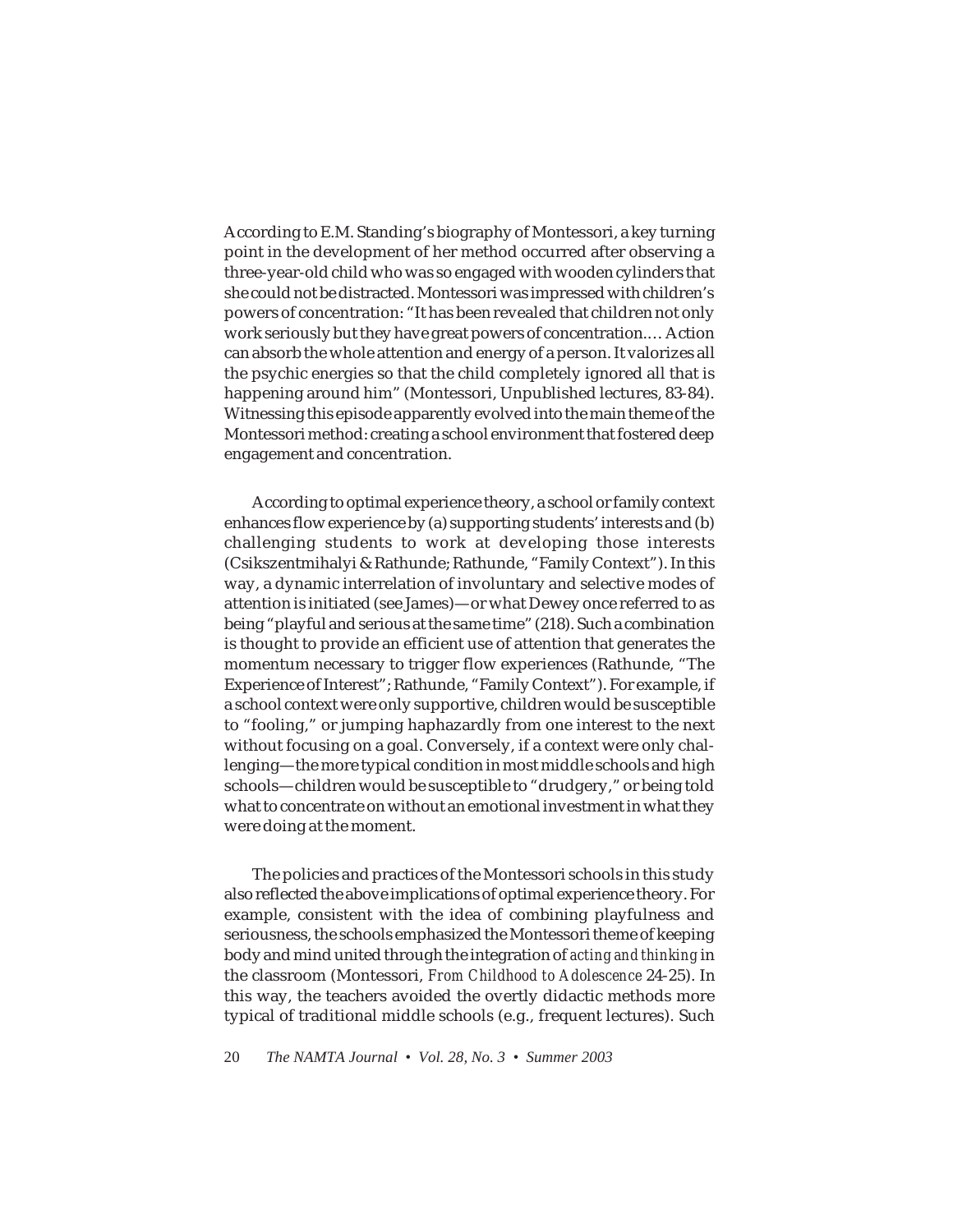According to E.M. Standing's biography of Montessori, a key turning point in the development of her method occurred after observing a three-year-old child who was so engaged with wooden cylinders that she could not be distracted. Montessori was impressed with children's powers of concentration: "It has been revealed that children not only work seriously but they have great powers of concentration.… Action can absorb the whole attention and energy of a person. It valorizes all the psychic energies so that the child completely ignored all that is happening around him" (Montessori, Unpublished lectures, 83-84). Witnessing this episode apparently evolved into the main theme of the Montessori method: creating a school environment that fostered deep engagement and concentration.

According to optimal experience theory, a school or family context enhances flow experience by (a) supporting students' interests and (b) challenging students to work at developing those interests (Csikszentmihalyi & Rathunde; Rathunde, "Family Context"). In this way, a dynamic interrelation of involuntary and selective modes of attention is initiated (see James)—or what Dewey once referred to as being "playful and serious at the same time" (218). Such a combination is thought to provide an efficient use of attention that generates the momentum necessary to trigger flow experiences (Rathunde, "The Experience of Interest"; Rathunde, "Family Context"). For example, if a school context were only supportive, children would be susceptible to "fooling," or jumping haphazardly from one interest to the next without focusing on a goal. Conversely, if a context were only challenging—the more typical condition in most middle schools and high schools—children would be susceptible to "drudgery," or being told what to concentrate on without an emotional investment in what they were doing at the moment.

The policies and practices of the Montessori schools in this study also reflected the above implications of optimal experience theory. For example, consistent with the idea of combining playfulness and seriousness, the schools emphasized the Montessori theme of keeping body and mind united through the integration of *acting and thinking* in the classroom (Montessori, *From Childhood to Adolescence* 24-25). In this way, the teachers avoided the overtly didactic methods more typical of traditional middle schools (e.g., frequent lectures). Such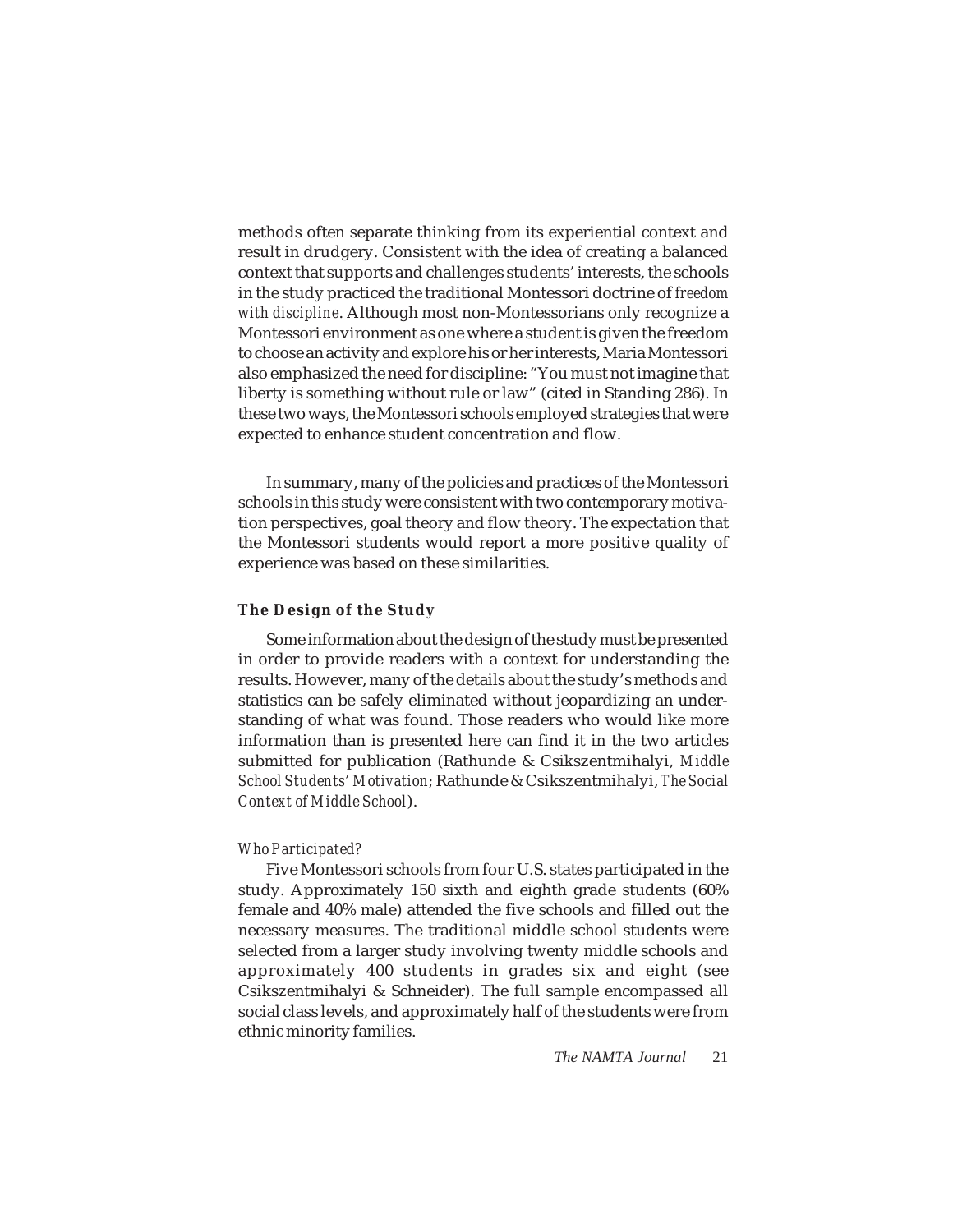methods often separate thinking from its experiential context and result in drudgery. Consistent with the idea of creating a balanced context that supports and challenges students' interests, the schools in the study practiced the traditional Montessori doctrine of *freedom with discipline*. Although most non-Montessorians only recognize a Montessori environment as one where a student is given the freedom to choose an activity and explore his or her interests, Maria Montessori also emphasized the need for discipline: "You must not imagine that liberty is something without rule or law" (cited in Standing 286). In these two ways, the Montessori schools employed strategies that were expected to enhance student concentration and flow.

In summary, many of the policies and practices of the Montessori schools in this study were consistent with two contemporary motivation perspectives, goal theory and flow theory. The expectation that the Montessori students would report a more positive quality of experience was based on these similarities.

#### **The Design of the Study**

Some information about the design of the study must be presented in order to provide readers with a context for understanding the results. However, many of the details about the study's methods and statistics can be safely eliminated without jeopardizing an understanding of what was found. Those readers who would like more information than is presented here can find it in the two articles submitted for publication (Rathunde & Csikszentmihalyi, *Middle School Students' Motivation;* Rathunde & Csikszentmihalyi, *The Social Context of Middle School*).

#### *Who Participated?*

Five Montessori schools from four U.S. states participated in the study. Approximately 150 sixth and eighth grade students (60% female and 40% male) attended the five schools and filled out the necessary measures. The traditional middle school students were selected from a larger study involving twenty middle schools and approximately 400 students in grades six and eight (see Csikszentmihalyi & Schneider). The full sample encompassed all social class levels, and approximately half of the students were from ethnic minority families.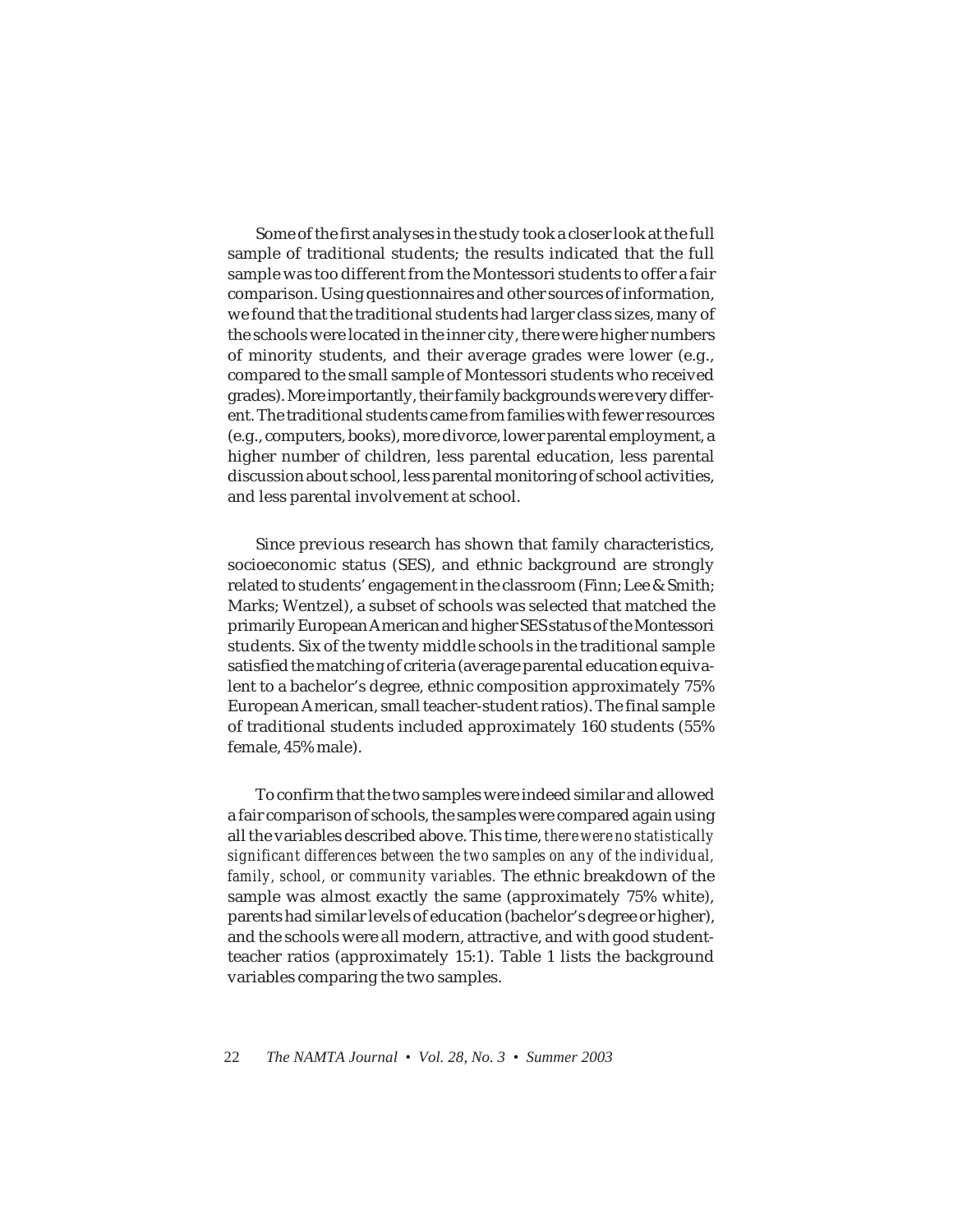Some of the first analyses in the study took a closer look at the full sample of traditional students; the results indicated that the full sample was too different from the Montessori students to offer a fair comparison. Using questionnaires and other sources of information, we found that the traditional students had larger class sizes, many of the schools were located in the inner city, there were higher numbers of minority students, and their average grades were lower (e.g., compared to the small sample of Montessori students who received grades). More importantly, their family backgrounds were very different. The traditional students came from families with fewer resources (e.g., computers, books), more divorce, lower parental employment, a higher number of children, less parental education, less parental discussion about school, less parental monitoring of school activities, and less parental involvement at school.

Since previous research has shown that family characteristics, socioeconomic status (SES), and ethnic background are strongly related to students' engagement in the classroom (Finn; Lee & Smith; Marks; Wentzel), a subset of schools was selected that matched the primarily European American and higher SES status of the Montessori students. Six of the twenty middle schools in the traditional sample satisfied the matching of criteria (average parental education equivalent to a bachelor's degree, ethnic composition approximately 75% European American, small teacher-student ratios). The final sample of traditional students included approximately 160 students (55% female, 45% male).

To confirm that the two samples were indeed similar and allowed a fair comparison of schools, the samples were compared again using all the variables described above. This time, *there were no statistically significant differences between the two samples on any of the individual, family, school, or community variables.* The ethnic breakdown of the sample was almost exactly the same (approximately 75% white), parents had similar levels of education (bachelor's degree or higher), and the schools were all modern, attractive, and with good studentteacher ratios (approximately 15:1). Table 1 lists the background variables comparing the two samples.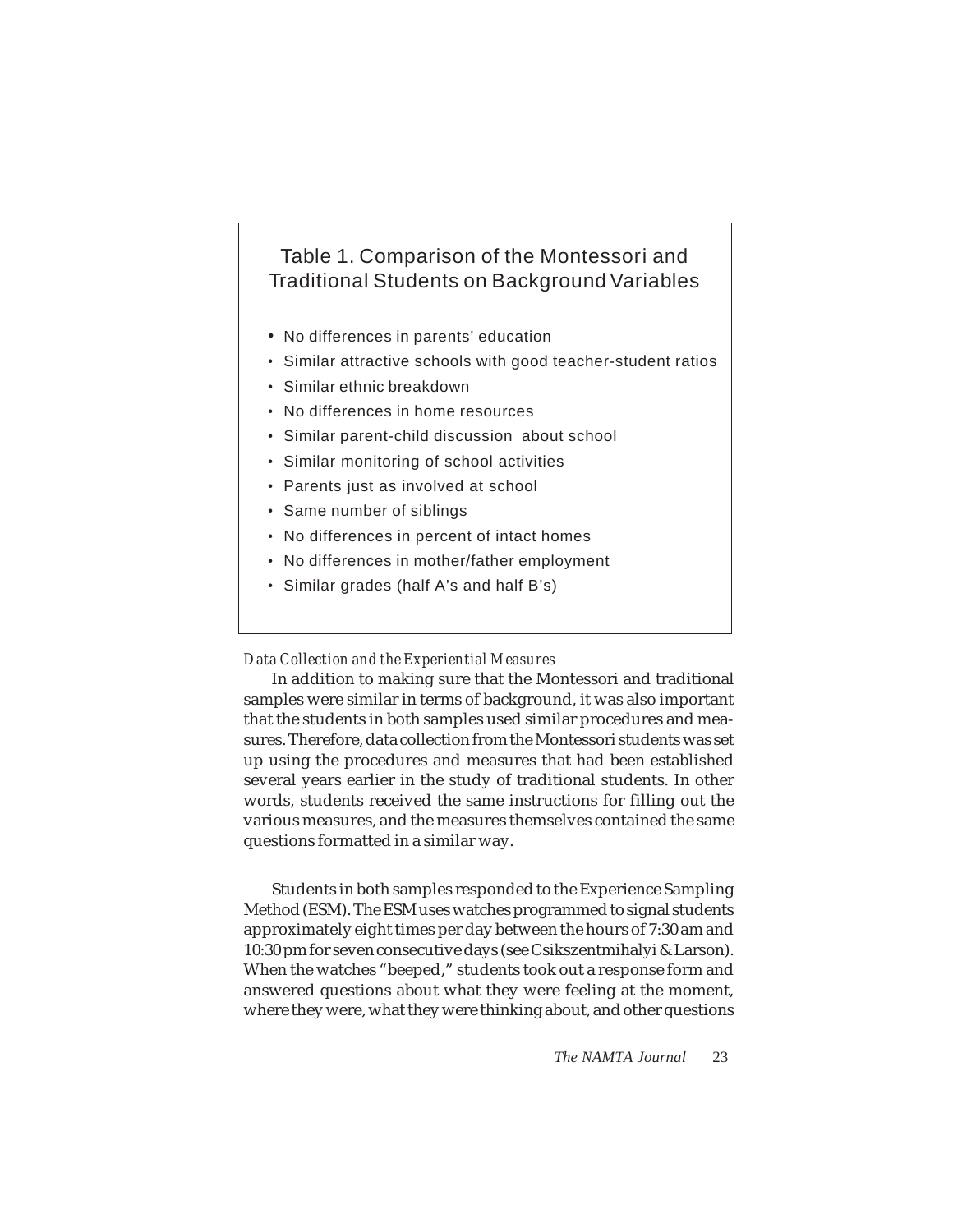# Table 1. Comparison of the Montessori and Traditional Students on Background Variables

- No differences in parents' education
- Similar attractive schools with good teacher-student ratios
- Similar ethnic breakdown
- No differences in home resources
- Similar parent-child discussion about school
- Similar monitoring of school activities
- Parents just as involved at school
- Same number of siblings
- No differences in percent of intact homes
- No differences in mother/father employment
- Similar grades (half A's and half B's)

#### *Data Collection and the Experiential Measures*

In addition to making sure that the Montessori and traditional samples were similar in terms of background, it was also important that the students in both samples used similar procedures and measures. Therefore, data collection from the Montessori students was set up using the procedures and measures that had been established several years earlier in the study of traditional students. In other words, students received the same instructions for filling out the various measures, and the measures themselves contained the same questions formatted in a similar way.

Students in both samples responded to the Experience Sampling Method (ESM). The ESM uses watches programmed to signal students approximately eight times per day between the hours of 7:30 am and 10:30 pm for seven consecutive days (see Csikszentmihalyi & Larson). When the watches "beeped," students took out a response form and answered questions about what they were feeling at the moment, where they were, what they were thinking about, and other questions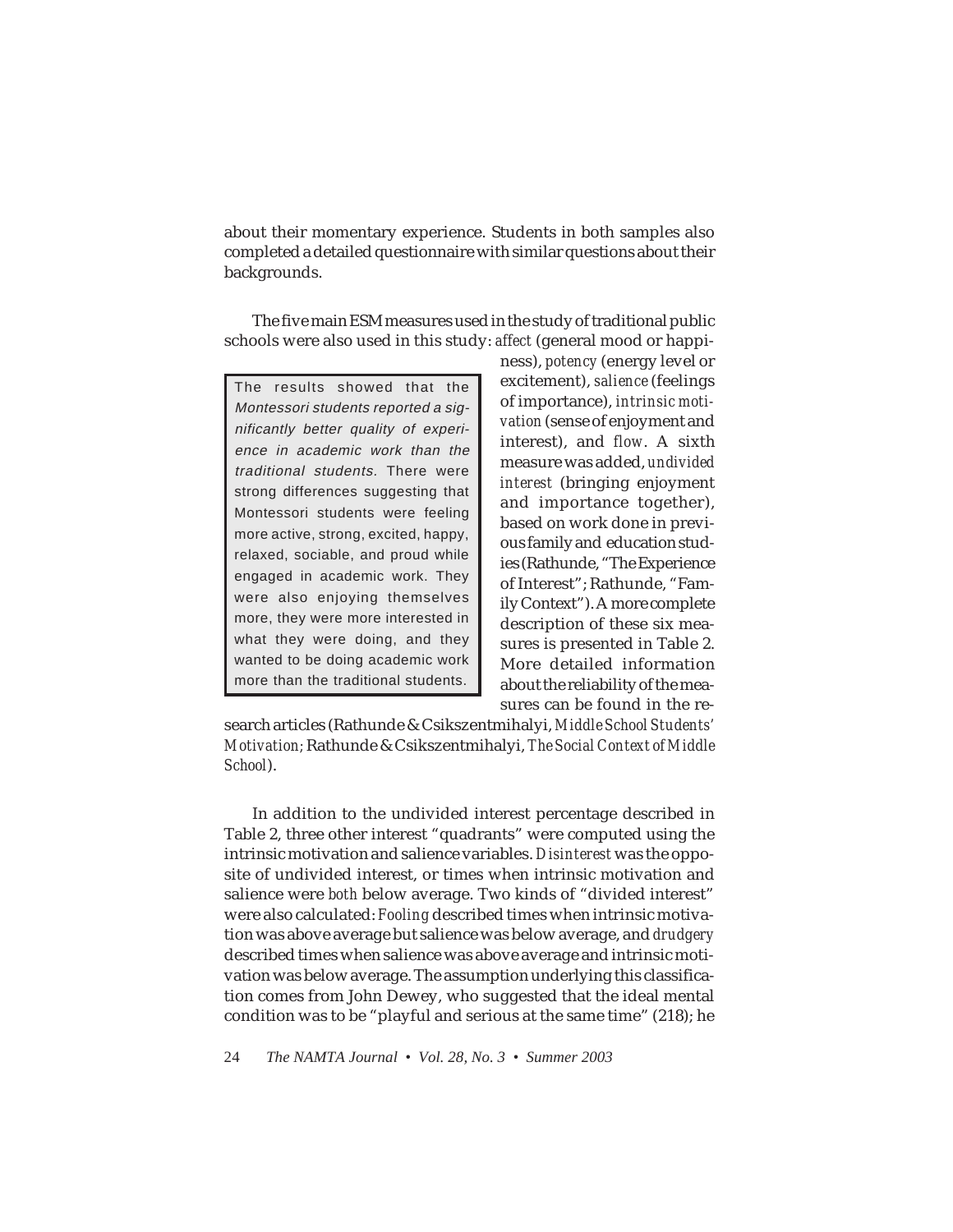about their momentary experience. Students in both samples also completed a detailed questionnaire with similar questions about their backgrounds.

The five main ESM measures used in the study of traditional public schools were also used in this study: *affect* (general mood or happi-

The results showed that the Montessori students reported a significantly better quality of experience in academic work than the traditional students. There were strong differences suggesting that Montessori students were feeling more active, strong, excited, happy, relaxed, sociable, and proud while engaged in academic work. They were also enjoying themselves more, they were more interested in what they were doing, and they wanted to be doing academic work more than the traditional students.

ness), *potency* (energy level or excitement), *salience* (feelings of importance), *intrinsic motivation* (sense of enjoyment and interest), and *flow*. A sixth measure was added, *undivided interest* (bringing enjoyment and importance together), based on work done in previous family and education studies (Rathunde, "The Experience of Interest"; Rathunde, "Family Context"). A more complete description of these six measures is presented in Table 2. More detailed information about the reliability of the measures can be found in the re-

search articles (Rathunde & Csikszentmihalyi, *Middle School Students' Motivation;* Rathunde & Csikszentmihalyi, *The Social Context of Middle School*).

In addition to the undivided interest percentage described in Table 2, three other interest "quadrants" were computed using the intrinsic motivation and salience variables. *Disinterest* was the opposite of undivided interest, or times when intrinsic motivation and salience were *both* below average. Two kinds of "divided interest" were also calculated: *Fooling* described times when intrinsic motivation was above average but salience was below average, and *drudgery* described times when salience was above average and intrinsic motivation was below average. The assumption underlying this classification comes from John Dewey, who suggested that the ideal mental condition was to be "playful and serious at the same time" (218); he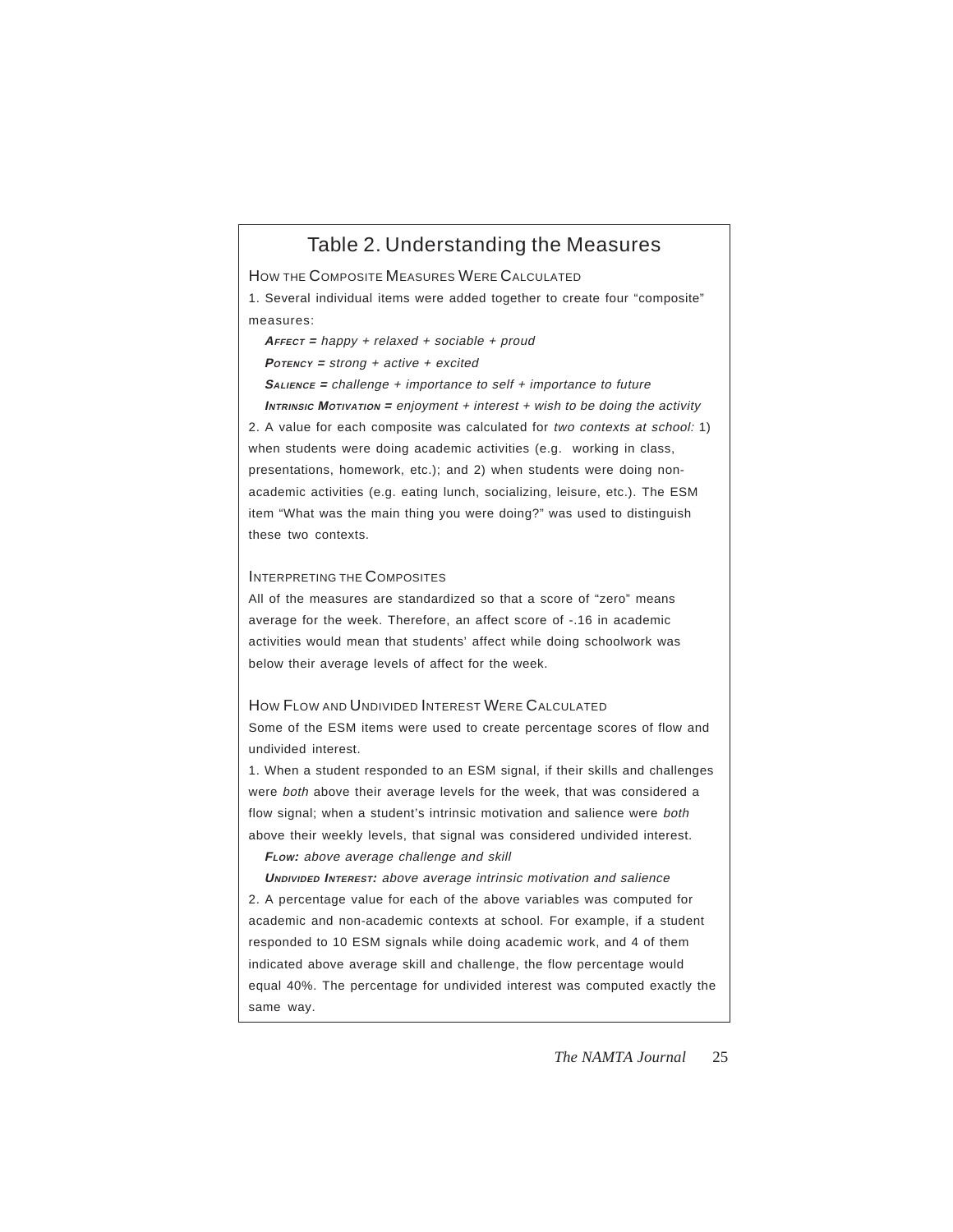# Table 2. Understanding the Measures

HOW THE COMPOSITE MEASURES WERE CALCULATED

1. Several individual items were added together to create four "composite" measures:

**AFFECT <sup>=</sup>**happy + relaxed + sociable + proud

**POTENCY <sup>=</sup>**strong + active + excited

**SALIENCE <sup>=</sup>**challenge + importance to self + importance to future

**INTRINSIC MOTIVATION <sup>=</sup>**enjoyment + interest + wish to be doing the activity 2. A value for each composite was calculated for two contexts at school: 1) when students were doing academic activities (e.g. working in class, presentations, homework, etc.); and 2) when students were doing nonacademic activities (e.g. eating lunch, socializing, leisure, etc.). The ESM item "What was the main thing you were doing?" was used to distinguish these two contexts.

#### INTERPRETING THE COMPOSITES

All of the measures are standardized so that a score of "zero" means average for the week. Therefore, an affect score of -.16 in academic activities would mean that students' affect while doing schoolwork was below their average levels of affect for the week.

#### HOW FLOW AND UNDIVIDED INTEREST WERE CALCULATED

Some of the ESM items were used to create percentage scores of flow and undivided interest.

1. When a student responded to an ESM signal, if their skills and challenges were both above their average levels for the week, that was considered a flow signal; when a student's intrinsic motivation and salience were both above their weekly levels, that signal was considered undivided interest.

**FLOW:** above average challenge and skill

**UNDIVIDED INTEREST:** above average intrinsic motivation and salience 2. A percentage value for each of the above variables was computed for academic and non-academic contexts at school. For example, if a student responded to 10 ESM signals while doing academic work, and 4 of them indicated above average skill and challenge, the flow percentage would equal 40%. The percentage for undivided interest was computed exactly the same way.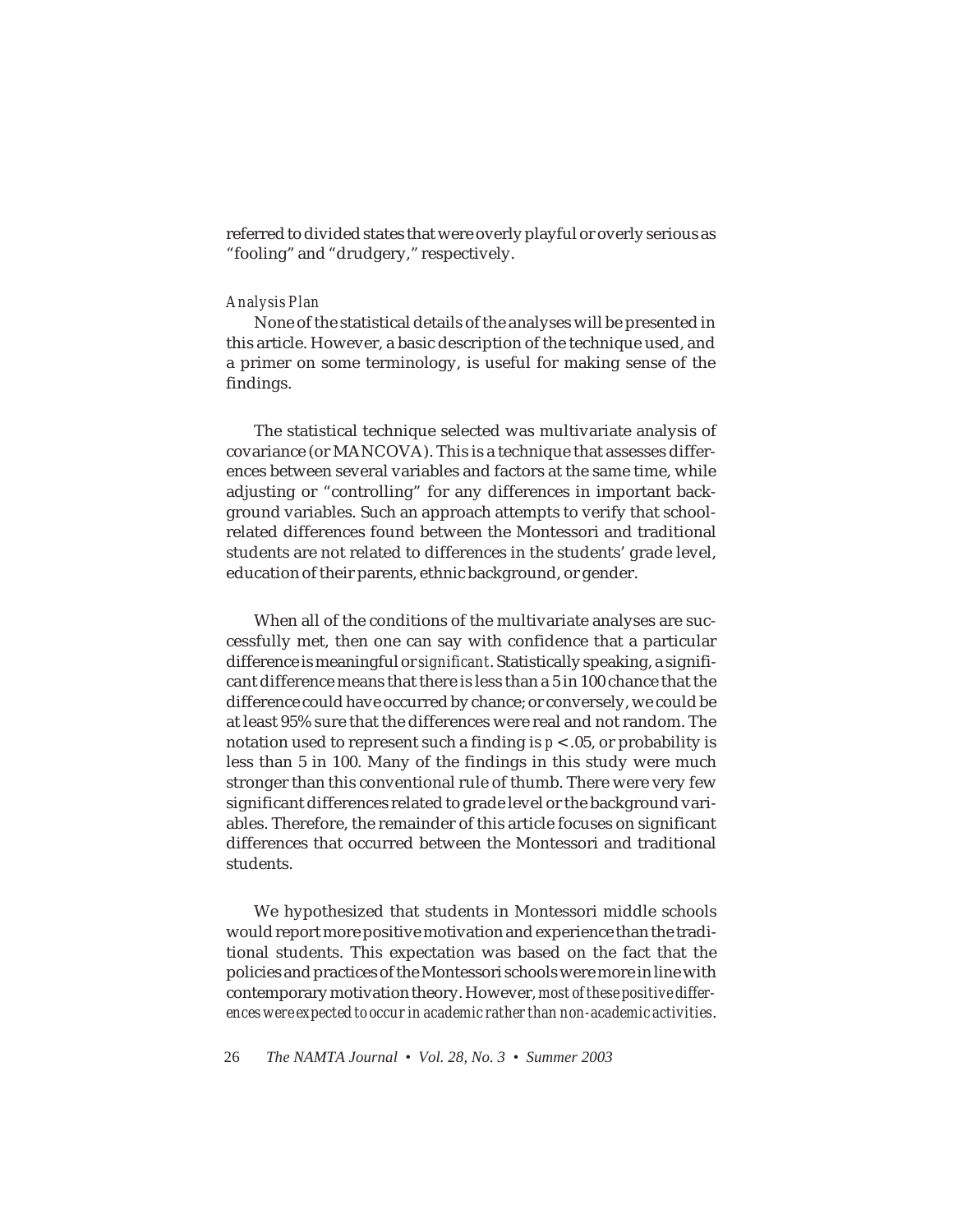referred to divided states that were overly playful or overly serious as "fooling" and "drudgery," respectively.

#### *Analysis Plan*

None of the statistical details of the analyses will be presented in this article. However, a basic description of the technique used, and a primer on some terminology, is useful for making sense of the findings.

The statistical technique selected was multivariate analysis of covariance (or MANCOVA). This is a technique that assesses differences between several variables and factors at the same time, while adjusting or "controlling" for any differences in important background variables. Such an approach attempts to verify that schoolrelated differences found between the Montessori and traditional students are not related to differences in the students' grade level, education of their parents, ethnic background, or gender.

When all of the conditions of the multivariate analyses are successfully met, then one can say with confidence that a particular difference is meaningful or *significant*. Statistically speaking, a significant difference means that there is less than a 5 in 100 chance that the difference could have occurred by chance; or conversely, we could be at least 95% sure that the differences were real and not random. The notation used to represent such a finding is *p* < .05, or probability is less than 5 in 100. Many of the findings in this study were much stronger than this conventional rule of thumb. There were very few significant differences related to grade level or the background variables. Therefore, the remainder of this article focuses on significant differences that occurred between the Montessori and traditional students.

We hypothesized that students in Montessori middle schools would report more positive motivation and experience than the traditional students. This expectation was based on the fact that the policies and practices of the Montessori schools were more in line with contemporary motivation theory. However, *most of these positive differences were expected to occur in academic rather than non-academic activities*.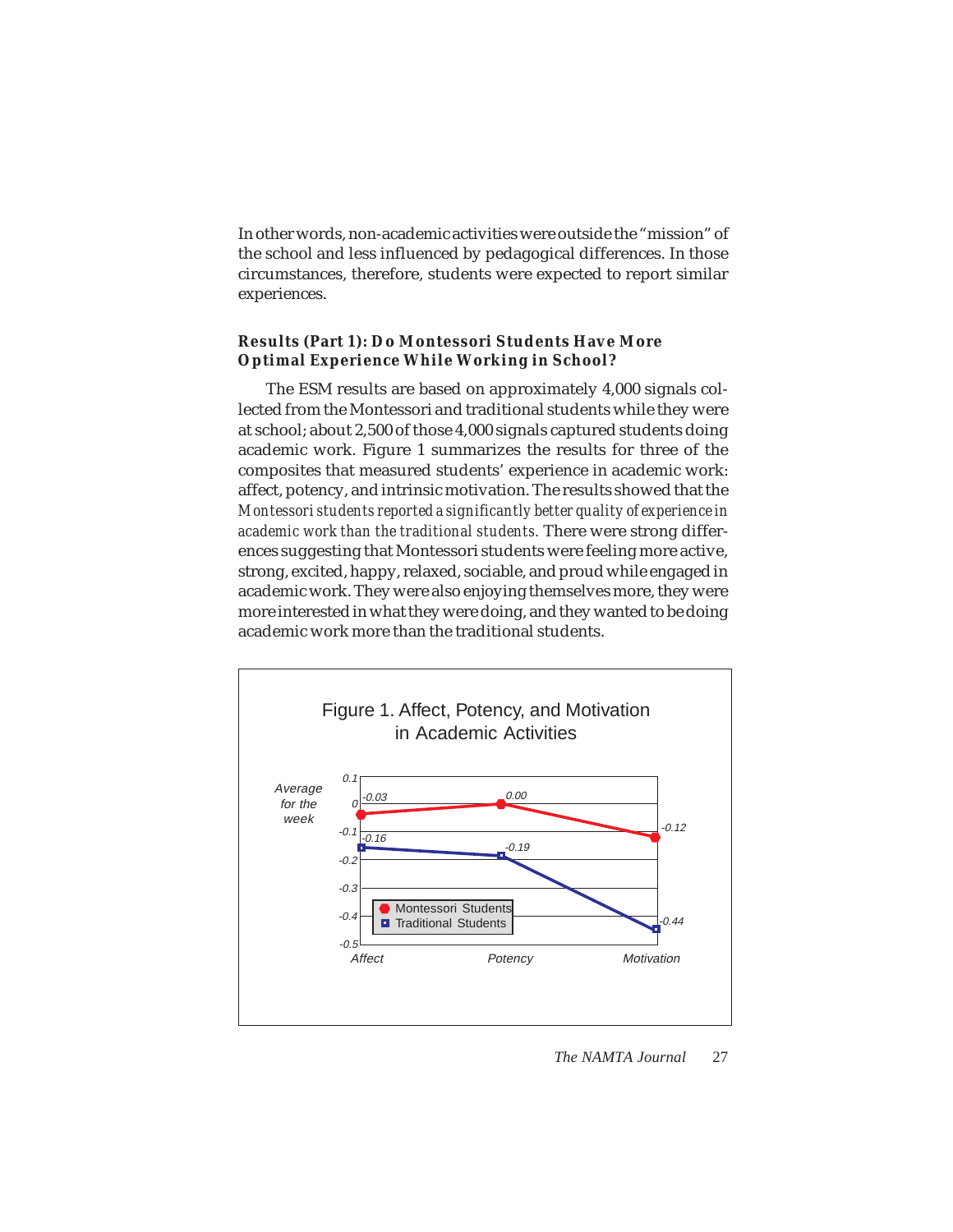In other words, non-academic activities were outside the "mission" of the school and less influenced by pedagogical differences. In those circumstances, therefore, students were expected to report similar experiences.

# **Results (Part 1): Do Montessori Students Have More Optimal Experience While Working in School?**

The ESM results are based on approximately 4,000 signals collected from the Montessori and traditional students while they were at school; about 2,500 of those 4,000 signals captured students doing academic work. Figure 1 summarizes the results for three of the composites that measured students' experience in academic work: affect, potency, and intrinsic motivation. The results showed that the *Montessori students reported a significantly better quality of experience in academic work than the traditional students.* There were strong differences suggesting that Montessori students were feeling more active, strong, excited, happy, relaxed, sociable, and proud while engaged in academic work. They were also enjoying themselves more, they were more interested in what they were doing, and they wanted to be doing academic work more than the traditional students.

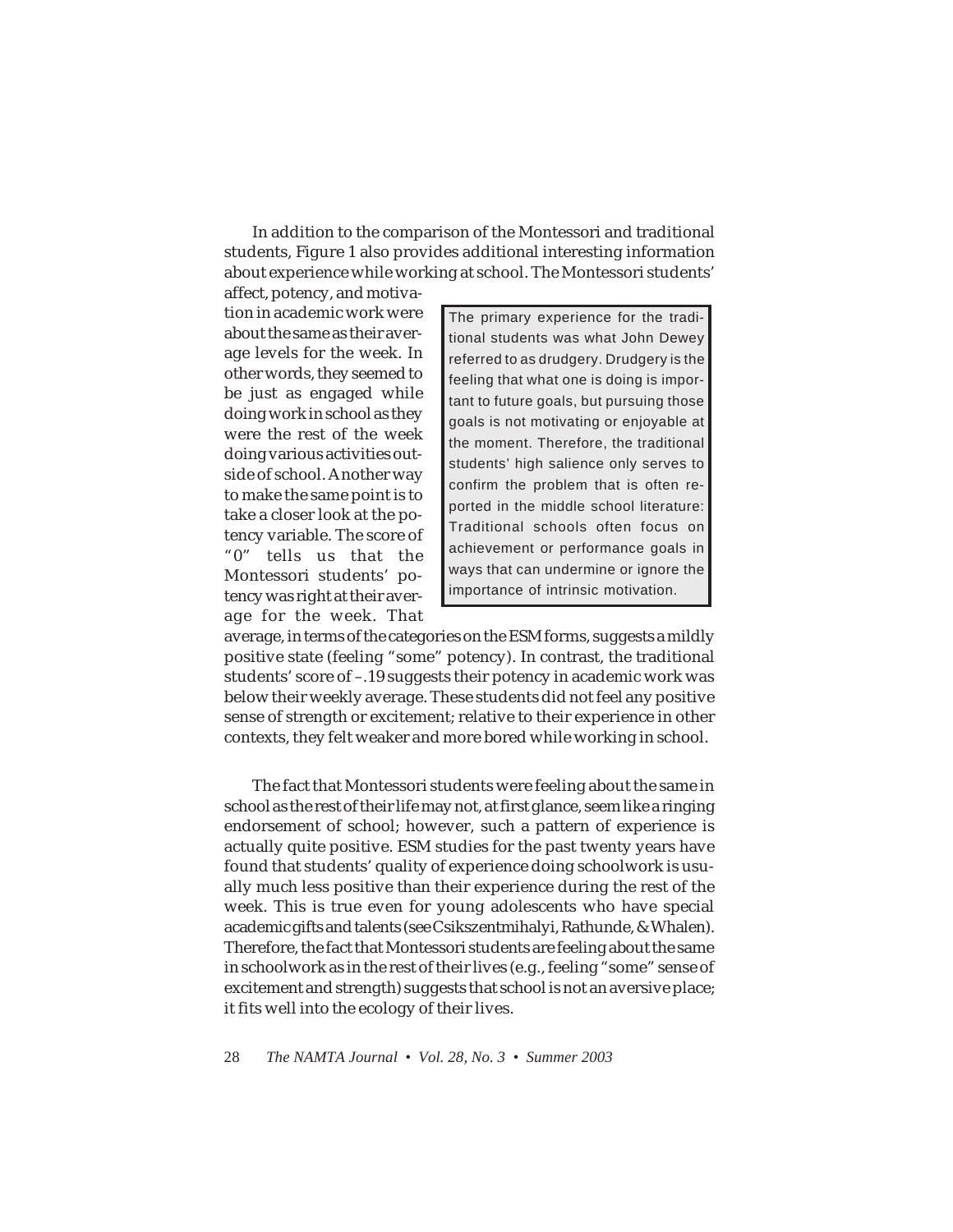In addition to the comparison of the Montessori and traditional students, Figure 1 also provides additional interesting information about experience while working at school. The Montessori students'

affect, potency, and motivation in academic work were about the same as their average levels for the week. In other words, they seemed to be just as engaged while doing work in school as they were the rest of the week doing various activities outside of school. Another way to make the same point is to take a closer look at the potency variable. The score of "0" tells us that the Montessori students' potency was right at their average for the week. That

The primary experience for the traditional students was what John Dewey referred to as drudgery. Drudgery is the feeling that what one is doing is important to future goals, but pursuing those goals is not motivating or enjoyable at the moment. Therefore, the traditional students' high salience only serves to confirm the problem that is often reported in the middle school literature: Traditional schools often focus on achievement or performance goals in ways that can undermine or ignore the importance of intrinsic motivation.

average, in terms of the categories on the ESM forms, suggests a mildly positive state (feeling "some" potency). In contrast, the traditional students' score of –.19 suggests their potency in academic work was below their weekly average. These students did not feel any positive sense of strength or excitement; relative to their experience in other contexts, they felt weaker and more bored while working in school.

The fact that Montessori students were feeling about the same in school as the rest of their life may not, at first glance, seem like a ringing endorsement of school; however, such a pattern of experience is actually quite positive. ESM studies for the past twenty years have found that students' quality of experience doing schoolwork is usually much less positive than their experience during the rest of the week. This is true even for young adolescents who have special academic gifts and talents (see Csikszentmihalyi, Rathunde, & Whalen). Therefore, the fact that Montessori students are feeling about the same in schoolwork as in the rest of their lives (e.g., feeling "some" sense of excitement and strength) suggests that school is not an aversive place; it fits well into the ecology of their lives.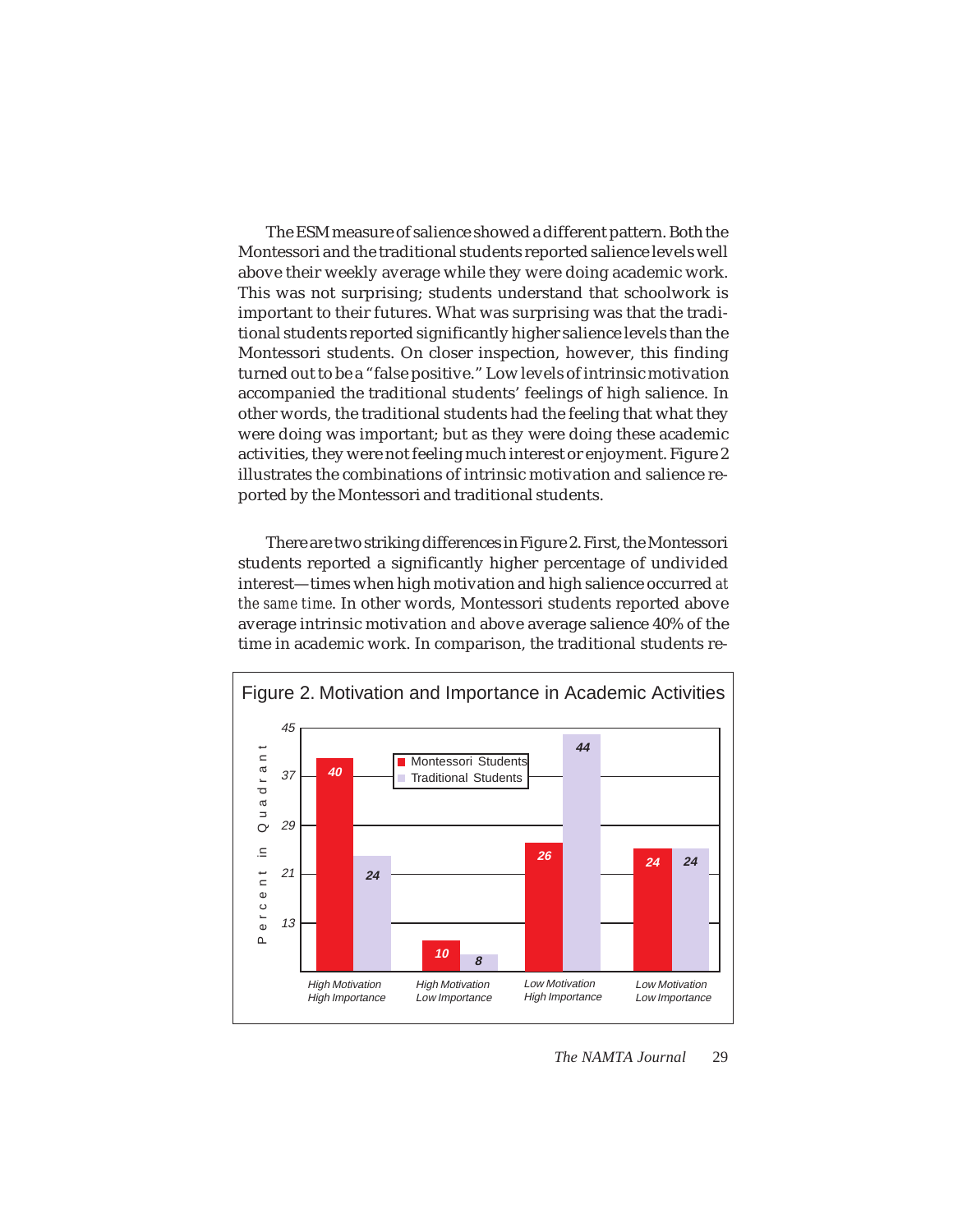The ESM measure of salience showed a different pattern. Both the Montessori and the traditional students reported salience levels well above their weekly average while they were doing academic work. This was not surprising; students understand that schoolwork is important to their futures. What was surprising was that the traditional students reported significantly higher salience levels than the Montessori students. On closer inspection, however, this finding turned out to be a "false positive." Low levels of intrinsic motivation accompanied the traditional students' feelings of high salience. In other words, the traditional students had the feeling that what they were doing was important; but as they were doing these academic activities, they were not feeling much interest or enjoyment. Figure 2 illustrates the combinations of intrinsic motivation and salience reported by the Montessori and traditional students.

There are two striking differences in Figure 2. First, the Montessori students reported a significantly higher percentage of undivided interest—times when high motivation and high salience occurred *at the same time*. In other words, Montessori students reported above average intrinsic motivation *and* above average salience 40% of the time in academic work. In comparison, the traditional students re-

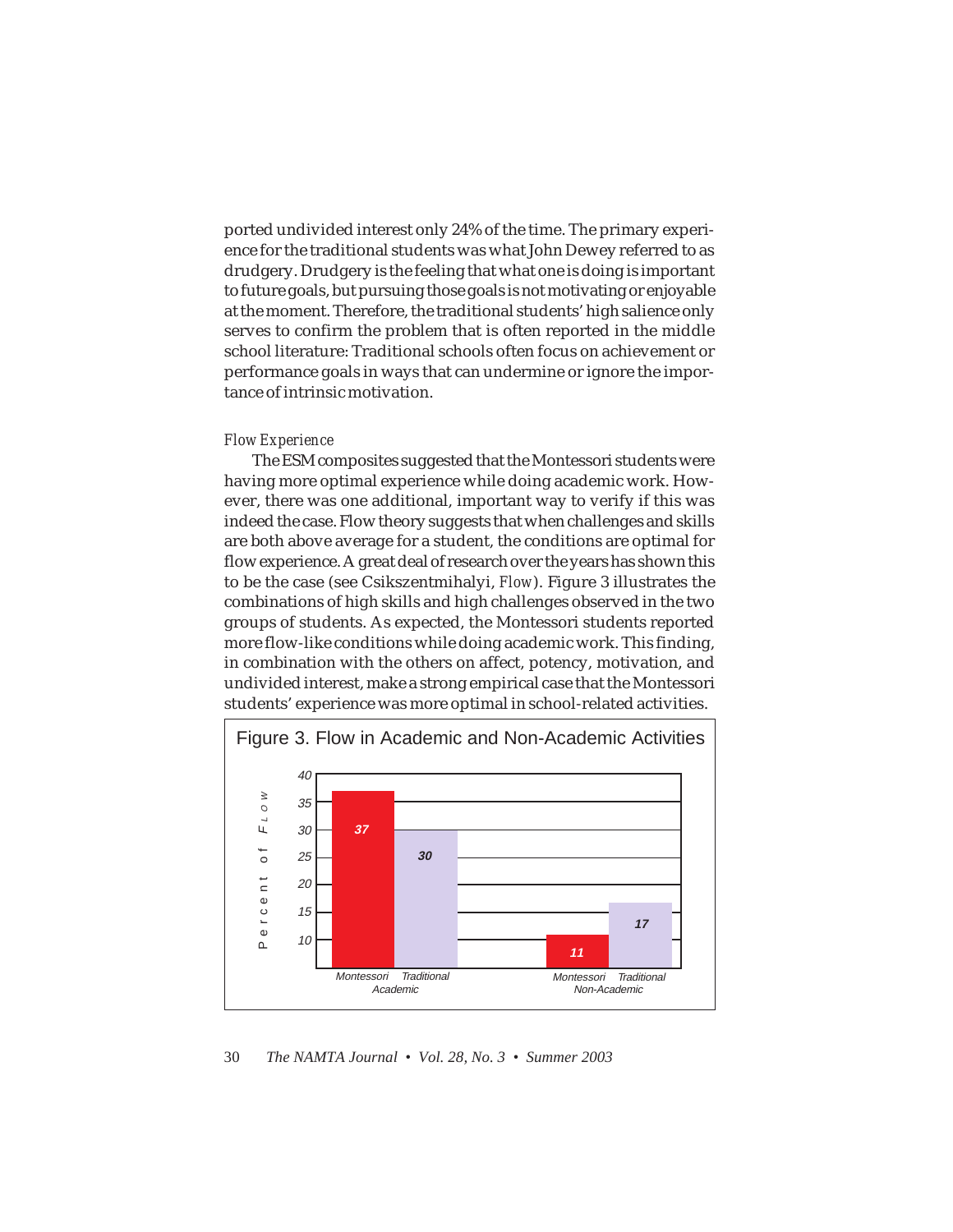ported undivided interest only 24% of the time. The primary experience for the traditional students was what John Dewey referred to as drudgery. Drudgery is the feeling that what one is doing is important to future goals, but pursuing those goals is not motivating or enjoyable at the moment. Therefore, the traditional students' high salience only serves to confirm the problem that is often reported in the middle school literature: Traditional schools often focus on achievement or performance goals in ways that can undermine or ignore the importance of intrinsic motivation.

#### *Flow Experience*

The ESM composites suggested that the Montessori students were having more optimal experience while doing academic work. However, there was one additional, important way to verify if this was indeed the case. Flow theory suggests that when challenges and skills are both above average for a student, the conditions are optimal for flow experience. A great deal of research over the years has shown this to be the case (see Csikszentmihalyi, *Flow*). Figure 3 illustrates the combinations of high skills and high challenges observed in the two groups of students. As expected, the Montessori students reported more flow-like conditions while doing academic work. This finding, in combination with the others on affect, potency, motivation, and undivided interest, make a strong empirical case that the Montessori students' experience was more optimal in school-related activities.



30 *The NAMTA Journal • Vol. 28, No. 3 • Summer 2003*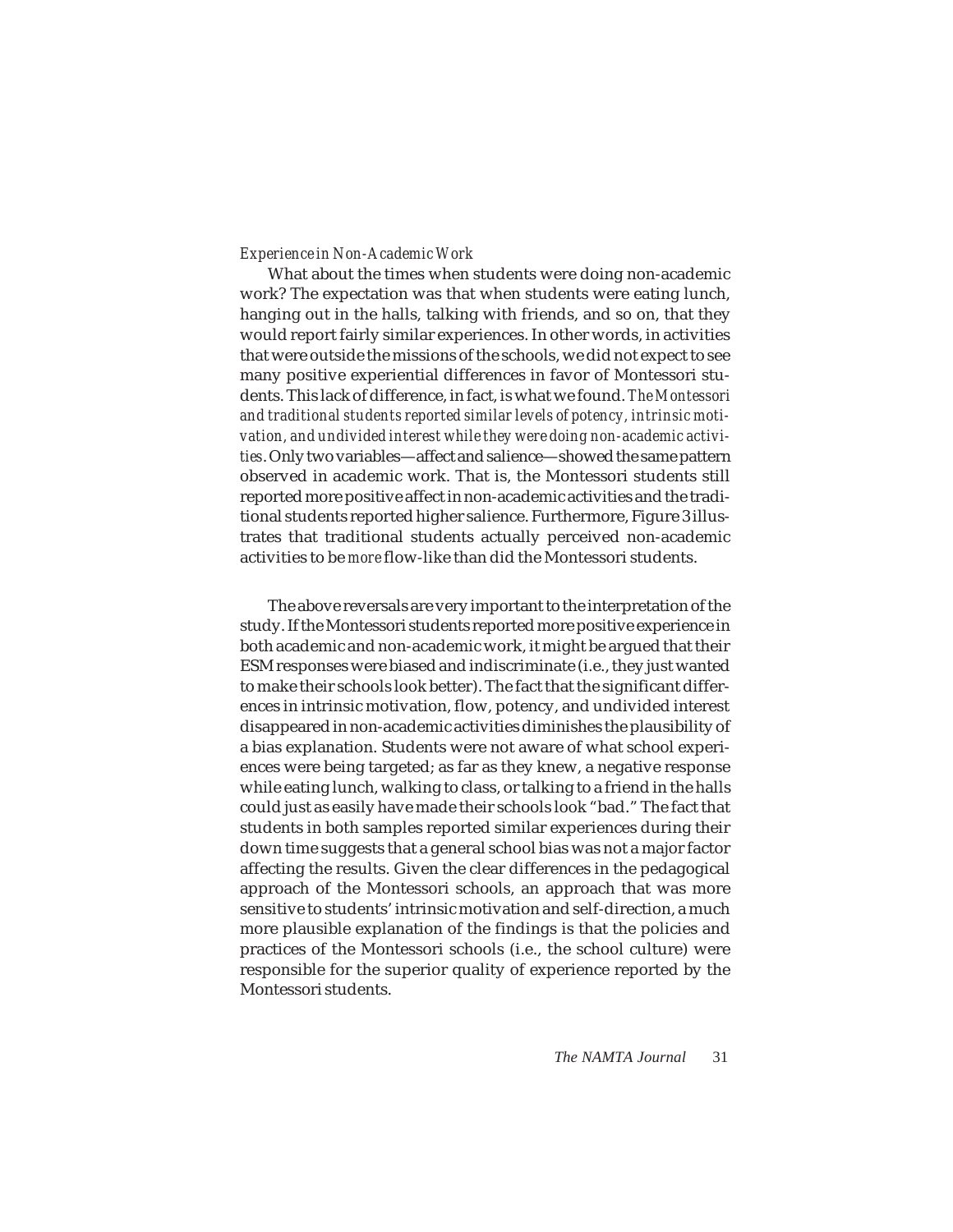#### *Experience in Non-Academic Work*

What about the times when students were doing non-academic work? The expectation was that when students were eating lunch, hanging out in the halls, talking with friends, and so on, that they would report fairly similar experiences. In other words, in activities that were outside the missions of the schools, we did not expect to see many positive experiential differences in favor of Montessori students. This lack of difference, in fact, is what we found. *The Montessori and traditional students reported similar levels of potency, intrinsic motivation, and undivided interest while they were doing non-academic activities*. Only two variables—affect and salience—showed the same pattern observed in academic work. That is, the Montessori students still reported more positive affect in non-academic activities and the traditional students reported higher salience. Furthermore, Figure 3 illustrates that traditional students actually perceived non-academic activities to be *more* flow-like than did the Montessori students.

The above reversals are very important to the interpretation of the study. If the Montessori students reported more positive experience in both academic and non-academic work, it might be argued that their ESM responses were biased and indiscriminate (i.e., they just wanted to make their schools look better). The fact that the significant differences in intrinsic motivation, flow, potency, and undivided interest disappeared in non-academic activities diminishes the plausibility of a bias explanation. Students were not aware of what school experiences were being targeted; as far as they knew, a negative response while eating lunch, walking to class, or talking to a friend in the halls could just as easily have made their schools look "bad." The fact that students in both samples reported similar experiences during their down time suggests that a general school bias was not a major factor affecting the results. Given the clear differences in the pedagogical approach of the Montessori schools, an approach that was more sensitive to students' intrinsic motivation and self-direction, a much more plausible explanation of the findings is that the policies and practices of the Montessori schools (i.e., the school culture) were responsible for the superior quality of experience reported by the Montessori students.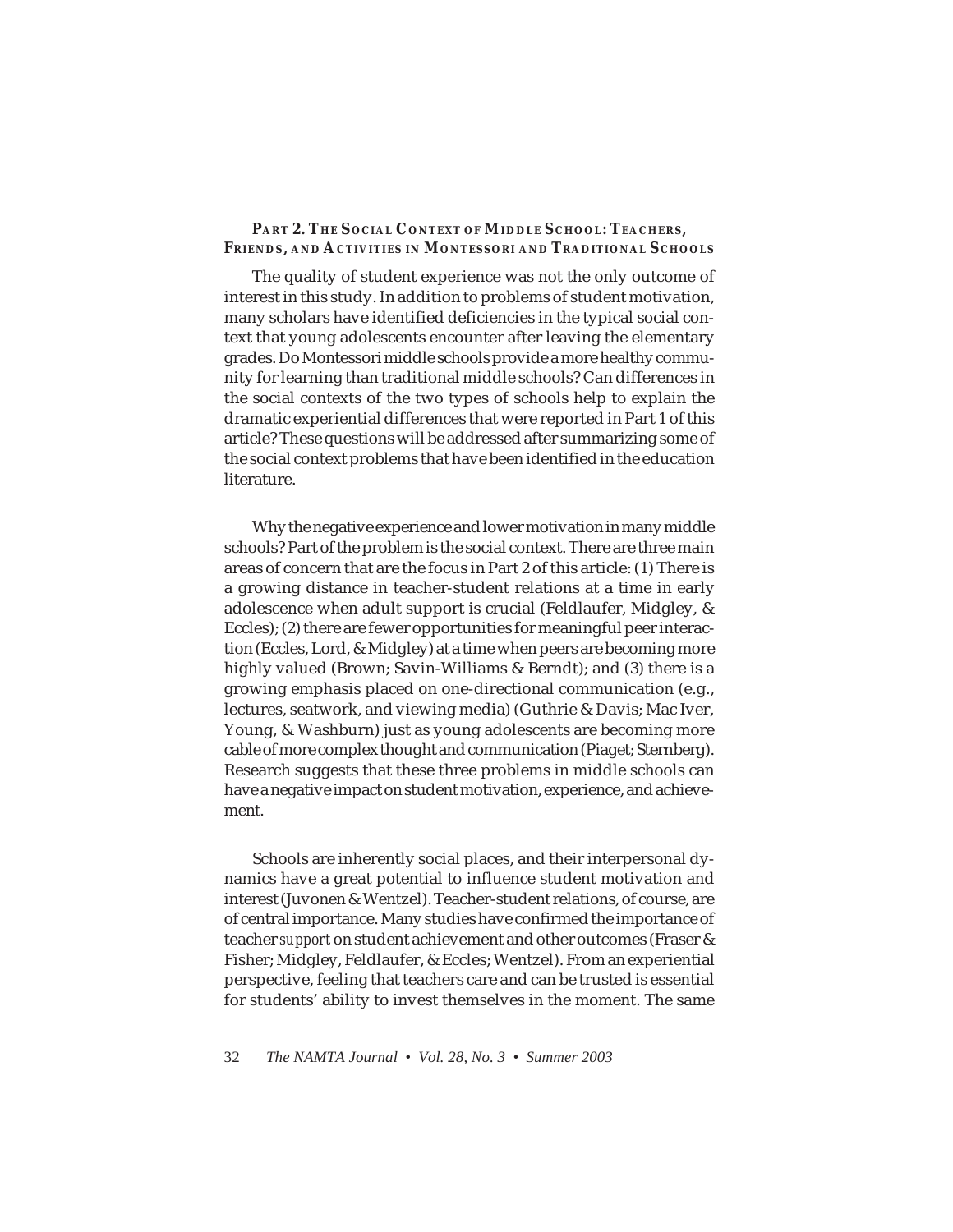# **PART 2. THE SOCIAL CONTEXT OF MIDDLE SCHOOL: TEACHERS, FRIENDS, AND ACTIVITIES IN MONTESSORI AND TRADITIONAL SCHOOLS**

The quality of student experience was not the only outcome of interest in this study. In addition to problems of student motivation, many scholars have identified deficiencies in the typical social context that young adolescents encounter after leaving the elementary grades. Do Montessori middle schools provide a more healthy community for learning than traditional middle schools? Can differences in the social contexts of the two types of schools help to explain the dramatic experiential differences that were reported in Part 1 of this article? These questions will be addressed after summarizing some of the social context problems that have been identified in the education literature.

Why the negative experience and lower motivation in many middle schools? Part of the problem is the social context. There are three main areas of concern that are the focus in Part 2 of this article: (1) There is a growing distance in teacher-student relations at a time in early adolescence when adult support is crucial (Feldlaufer, Midgley, & Eccles); (2) there are fewer opportunities for meaningful peer interaction (Eccles, Lord, & Midgley) at a time when peers are becoming more highly valued (Brown; Savin-Williams & Berndt); and (3) there is a growing emphasis placed on one-directional communication (e.g., lectures, seatwork, and viewing media) (Guthrie & Davis; Mac Iver, Young, & Washburn) just as young adolescents are becoming more cable of more complex thought and communication (Piaget; Sternberg). Research suggests that these three problems in middle schools can have a negative impact on student motivation, experience, and achievement.

Schools are inherently social places, and their interpersonal dynamics have a great potential to influence student motivation and interest (Juvonen & Wentzel). Teacher-student relations, of course, are of central importance. Many studies have confirmed the importance of teacher *support* on student achievement and other outcomes (Fraser & Fisher; Midgley, Feldlaufer, & Eccles; Wentzel). From an experiential perspective, feeling that teachers care and can be trusted is essential for students' ability to invest themselves in the moment. The same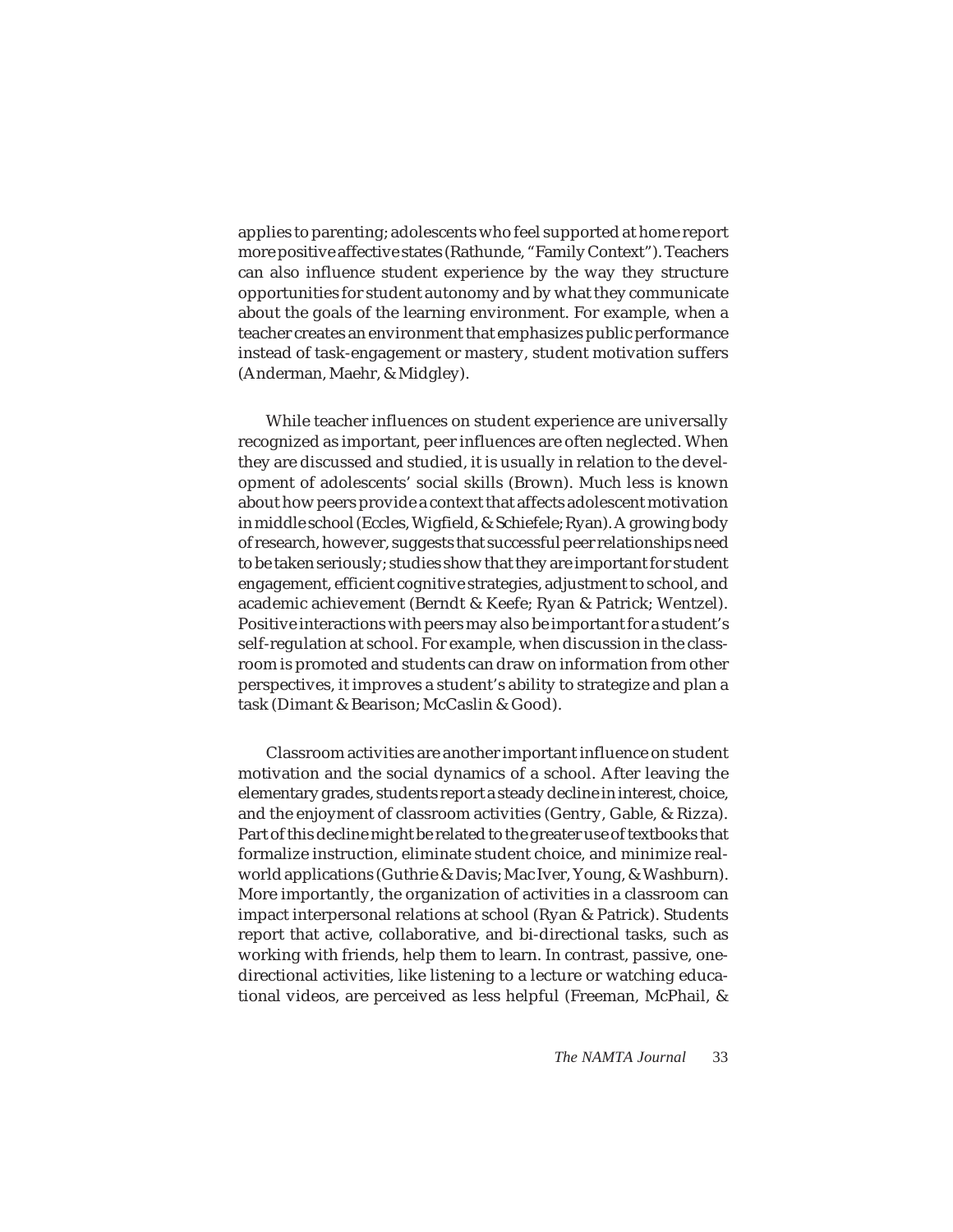applies to parenting; adolescents who feel supported at home report more positive affective states (Rathunde, "Family Context"). Teachers can also influence student experience by the way they structure opportunities for student autonomy and by what they communicate about the goals of the learning environment. For example, when a teacher creates an environment that emphasizes public performance instead of task-engagement or mastery, student motivation suffers (Anderman, Maehr, & Midgley).

While teacher influences on student experience are universally recognized as important, peer influences are often neglected. When they are discussed and studied, it is usually in relation to the development of adolescents' social skills (Brown). Much less is known about how peers provide a context that affects adolescent motivation in middle school (Eccles, Wigfield, & Schiefele; Ryan). A growing body of research, however, suggests that successful peer relationships need to be taken seriously; studies show that they are important for student engagement, efficient cognitive strategies, adjustment to school, and academic achievement (Berndt & Keefe; Ryan & Patrick; Wentzel). Positive interactions with peers may also be important for a student's self-regulation at school. For example, when discussion in the classroom is promoted and students can draw on information from other perspectives, it improves a student's ability to strategize and plan a task (Dimant & Bearison; McCaslin & Good).

Classroom activities are another important influence on student motivation and the social dynamics of a school. After leaving the elementary grades, students report a steady decline in interest, choice, and the enjoyment of classroom activities (Gentry, Gable, & Rizza). Part of this decline might be related to the greater use of textbooks that formalize instruction, eliminate student choice, and minimize realworld applications (Guthrie & Davis; Mac Iver, Young, & Washburn). More importantly, the organization of activities in a classroom can impact interpersonal relations at school (Ryan & Patrick). Students report that active, collaborative, and bi-directional tasks, such as working with friends, help them to learn. In contrast, passive, onedirectional activities, like listening to a lecture or watching educational videos, are perceived as less helpful (Freeman, McPhail, &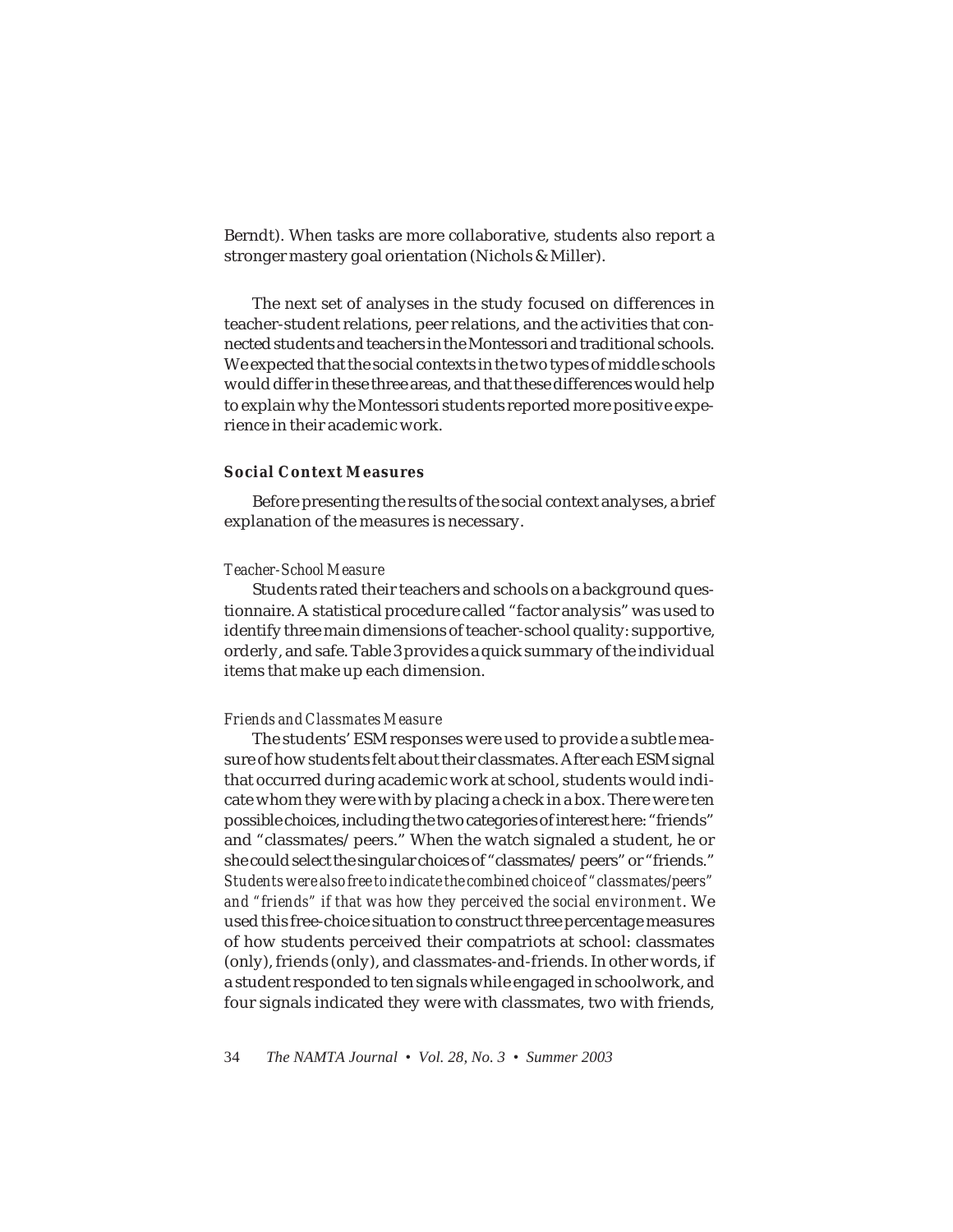Berndt). When tasks are more collaborative, students also report a stronger mastery goal orientation (Nichols & Miller).

The next set of analyses in the study focused on differences in teacher-student relations, peer relations, and the activities that connected students and teachers in the Montessori and traditional schools. We expected that the social contexts in the two types of middle schools would differ in these three areas, and that these differences would help to explain why the Montessori students reported more positive experience in their academic work.

#### **Social Context Measures**

Before presenting the results of the social context analyses, a brief explanation of the measures is necessary.

#### *Teacher-School Measure*

Students rated their teachers and schools on a background questionnaire. A statistical procedure called "factor analysis" was used to identify three main dimensions of teacher-school quality: supportive, orderly, and safe. Table 3 provides a quick summary of the individual items that make up each dimension.

#### *Friends and Classmates Measure*

The students' ESM responses were used to provide a subtle measure of how students felt about their classmates. After each ESM signal that occurred during academic work at school, students would indicate whom they were with by placing a check in a box. There were ten possible choices, including the two categories of interest here: "friends" and "classmates/peers." When the watch signaled a student, he or she could select the singular choices of "classmates/peers" or "friends." *Students were also free to indicate the combined choice of "classmates/peers" and "friends" if that was how they perceived the social environment*. We used this free-choice situation to construct three percentage measures of how students perceived their compatriots at school: classmates (only), friends (only), and classmates-and-friends. In other words, if a student responded to ten signals while engaged in schoolwork, and four signals indicated they were with classmates, two with friends,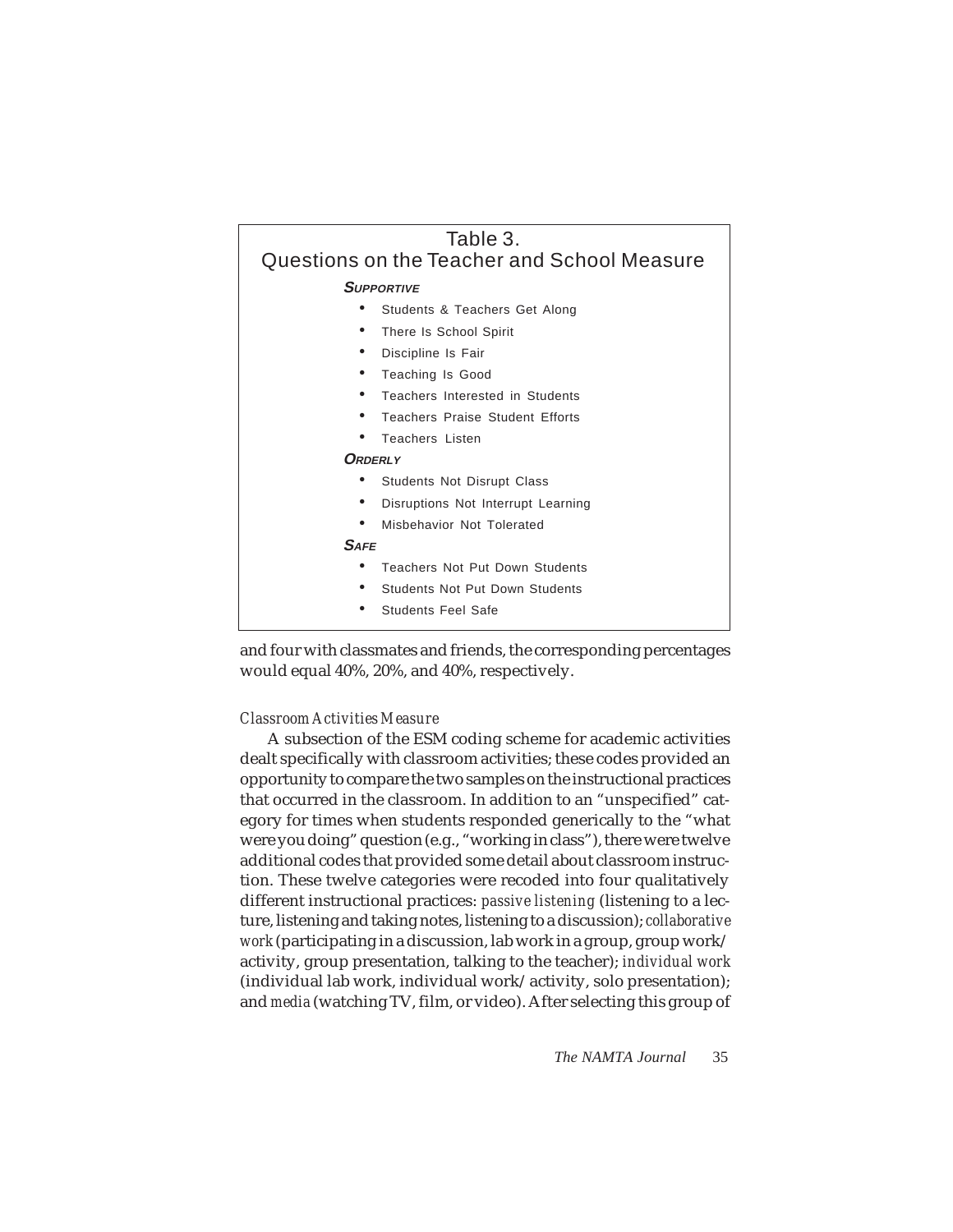| Table 3.<br>Questions on the Teacher and School Measure |
|---------------------------------------------------------|
| <b>SUPPORTIVE</b>                                       |
| Students & Teachers Get Along                           |
| ٠<br>There Is School Spirit                             |
| $\bullet$<br>Discipline Is Fair                         |
| Teaching Is Good                                        |
| Teachers Interested in Students<br>$\bullet$            |
| <b>Teachers Praise Student Efforts</b>                  |
| Teachers Listen                                         |
| <b>ORDERIY</b>                                          |
| <b>Students Not Disrupt Class</b>                       |
| Disruptions Not Interrupt Learning                      |
| Mishehavior Not Tolerated<br>٠                          |
| <b>SAFE</b>                                             |
| Teachers Not Put Down Students<br>٠                     |
| Students Not Put Down Students<br>٠                     |
| Students Feel Safe                                      |
|                                                         |

and four with classmates and friends, the corresponding percentages would equal 40%, 20%, and 40%, respectively.

## *Classroom Activities Measure*

A subsection of the ESM coding scheme for academic activities dealt specifically with classroom activities; these codes provided an opportunity to compare the two samples on the instructional practices that occurred in the classroom. In addition to an "unspecified" category for times when students responded generically to the "what were you doing" question (e.g., "working in class"), there were twelve additional codes that provided some detail about classroom instruction. These twelve categories were recoded into four qualitatively different instructional practices: *passive listening* (listening to a lecture, listening and taking notes, listening to a discussion); *collaborative work* (participating in a discussion, lab work in a group, group work/ activity, group presentation, talking to the teacher); *individual work* (individual lab work, individual work/activity, solo presentation); and *media* (watching TV, film, or video). After selecting this group of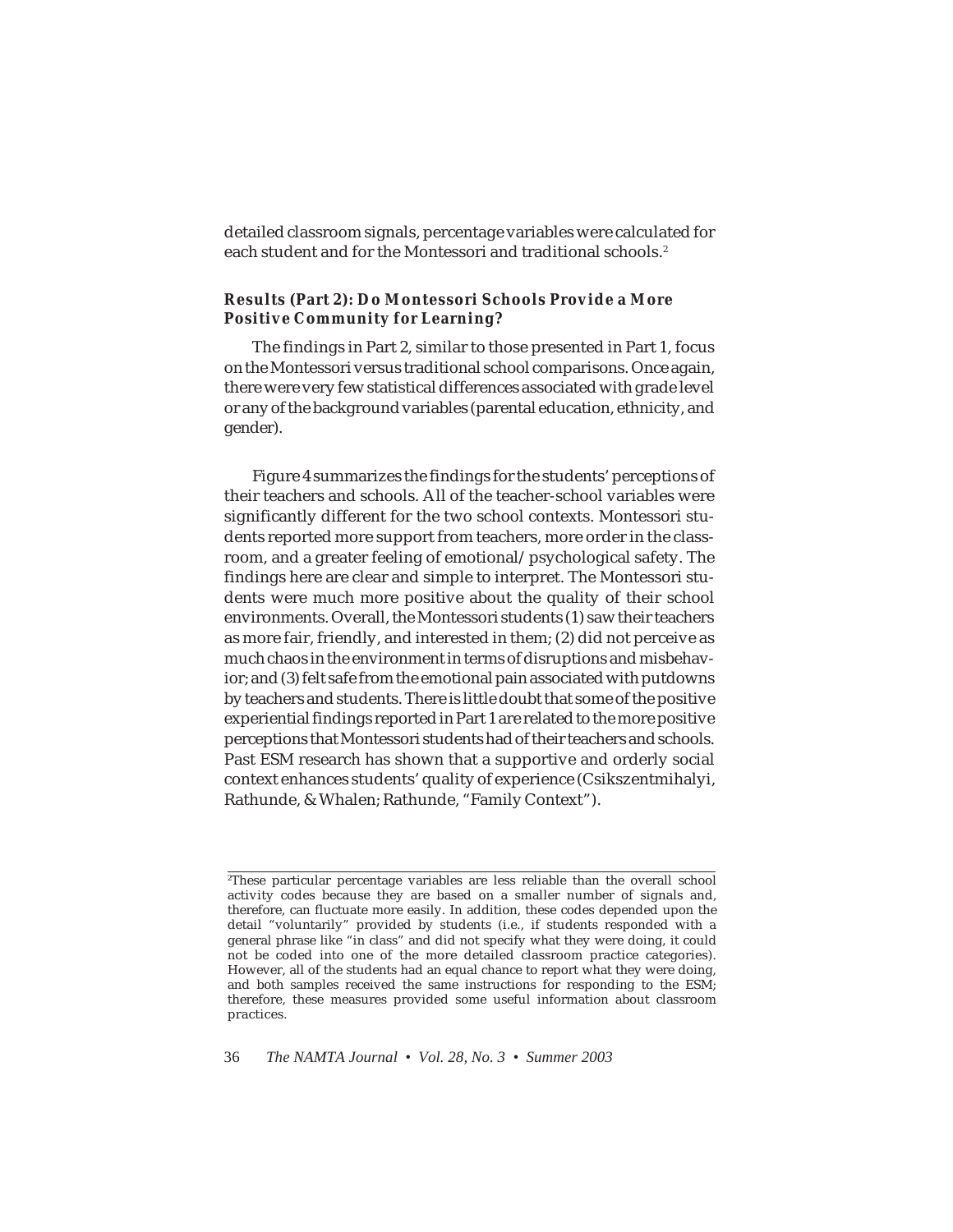detailed classroom signals, percentage variables were calculated for each student and for the Montessori and traditional schools.2

## **Results (Part 2): Do Montessori Schools Provide a More Positive Community for Learning?**

The findings in Part 2, similar to those presented in Part 1, focus on the Montessori versus traditional school comparisons. Once again, there were very few statistical differences associated with grade level or any of the background variables (parental education, ethnicity, and gender).

Figure 4 summarizes the findings for the students' perceptions of their teachers and schools. All of the teacher-school variables were significantly different for the two school contexts. Montessori students reported more support from teachers, more order in the classroom, and a greater feeling of emotional/psychological safety. The findings here are clear and simple to interpret. The Montessori students were much more positive about the quality of their school environments. Overall, the Montessori students (1) saw their teachers as more fair, friendly, and interested in them; (2) did not perceive as much chaos in the environment in terms of disruptions and misbehavior; and (3) felt safe from the emotional pain associated with putdowns by teachers and students. There is little doubt that some of the positive experiential findings reported in Part 1 are related to the more positive perceptions that Montessori students had of their teachers and schools. Past ESM research has shown that a supportive and orderly social context enhances students' quality of experience (Csikszentmihalyi, Rathunde, & Whalen; Rathunde, "Family Context").

<sup>2</sup> These particular percentage variables are less reliable than the overall school activity codes because they are based on a smaller number of signals and, therefore, can fluctuate more easily. In addition, these codes depended upon the detail "voluntarily" provided by students (i.e., if students responded with a general phrase like "in class" and did not specify what they were doing, it could not be coded into one of the more detailed classroom practice categories). However, all of the students had an equal chance to report what they were doing, and both samples received the same instructions for responding to the ESM; therefore, these measures provided some useful information about classroom practices.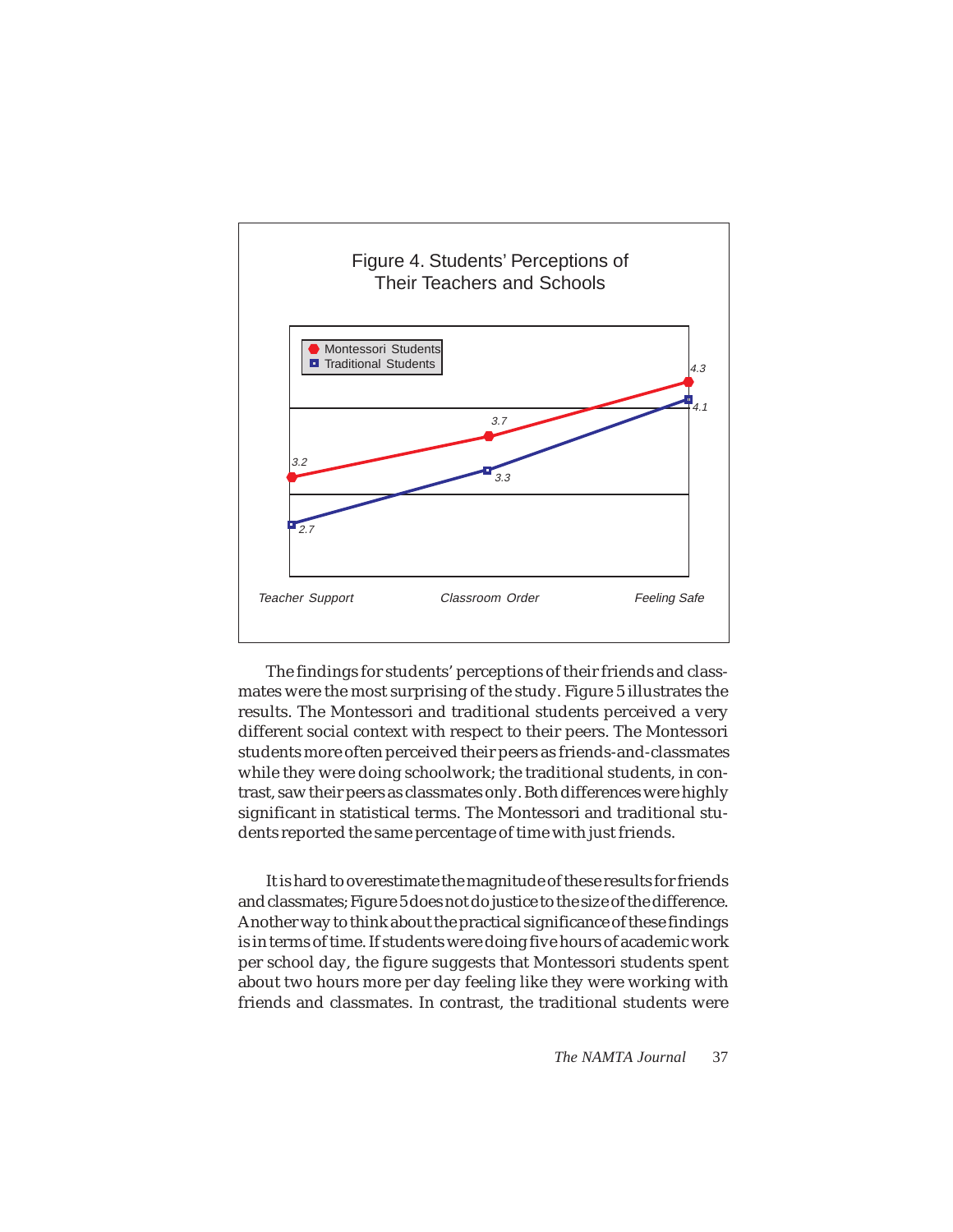

The findings for students' perceptions of their friends and classmates were the most surprising of the study. Figure 5 illustrates the results. The Montessori and traditional students perceived a very different social context with respect to their peers. The Montessori students more often perceived their peers as friends-and-classmates while they were doing schoolwork; the traditional students, in contrast, saw their peers as classmates only. Both differences were highly significant in statistical terms. The Montessori and traditional students reported the same percentage of time with just friends.

It is hard to overestimate the magnitude of these results for friends and classmates; Figure 5 does not do justice to the size of the difference. Another way to think about the practical significance of these findings is in terms of time. If students were doing five hours of academic work per school day, the figure suggests that Montessori students spent about two hours more per day feeling like they were working with friends and classmates. In contrast, the traditional students were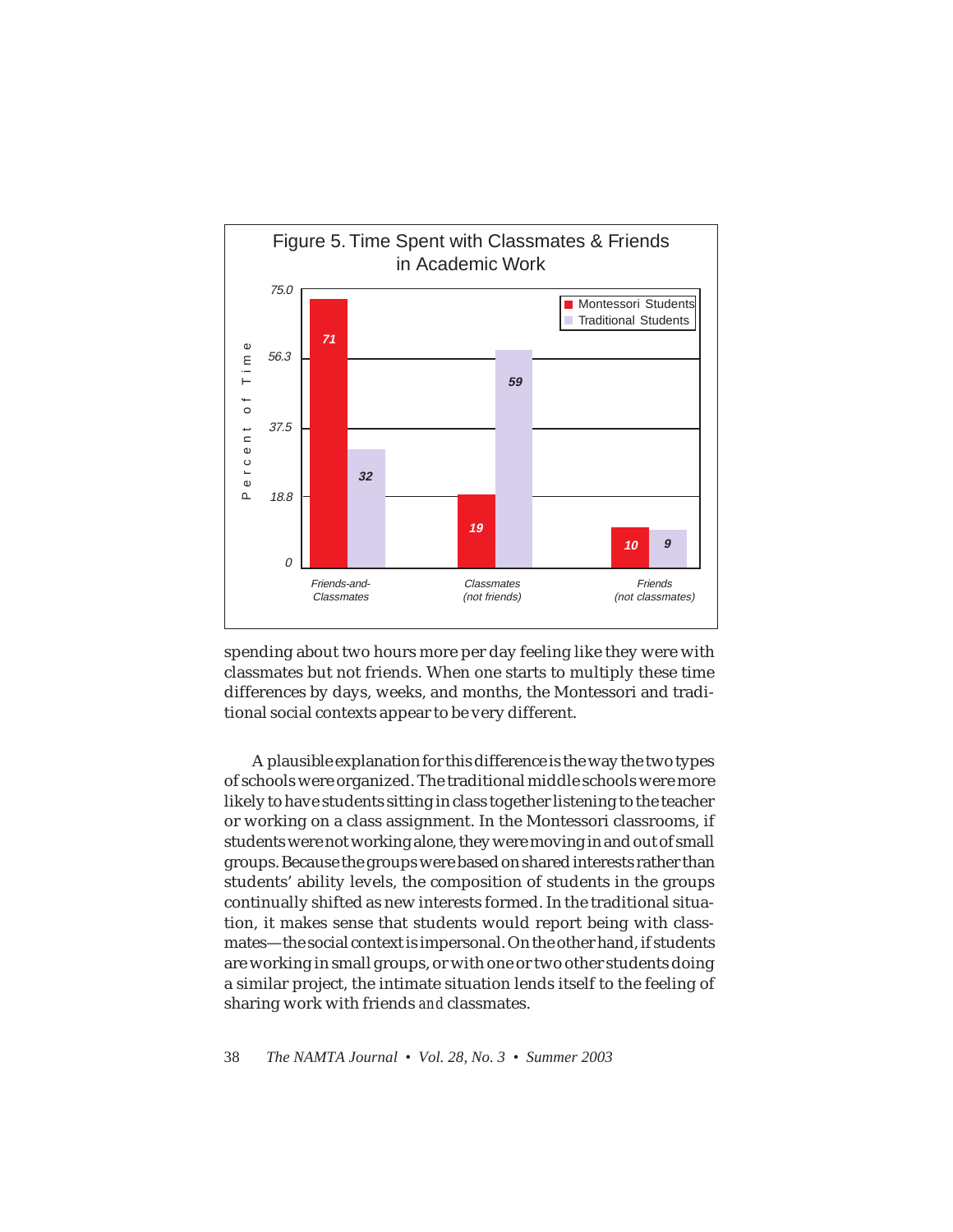

spending about two hours more per day feeling like they were with classmates but not friends. When one starts to multiply these time differences by days, weeks, and months, the Montessori and traditional social contexts appear to be very different.

A plausible explanation for this difference is the way the two types of schools were organized. The traditional middle schools were more likely to have students sitting in class together listening to the teacher or working on a class assignment. In the Montessori classrooms, if students were not working alone, they were moving in and out of small groups. Because the groups were based on shared interests rather than students' ability levels, the composition of students in the groups continually shifted as new interests formed. In the traditional situation, it makes sense that students would report being with classmates—the social context is impersonal. On the other hand, if students are working in small groups, or with one or two other students doing a similar project, the intimate situation lends itself to the feeling of sharing work with friends *and* classmates.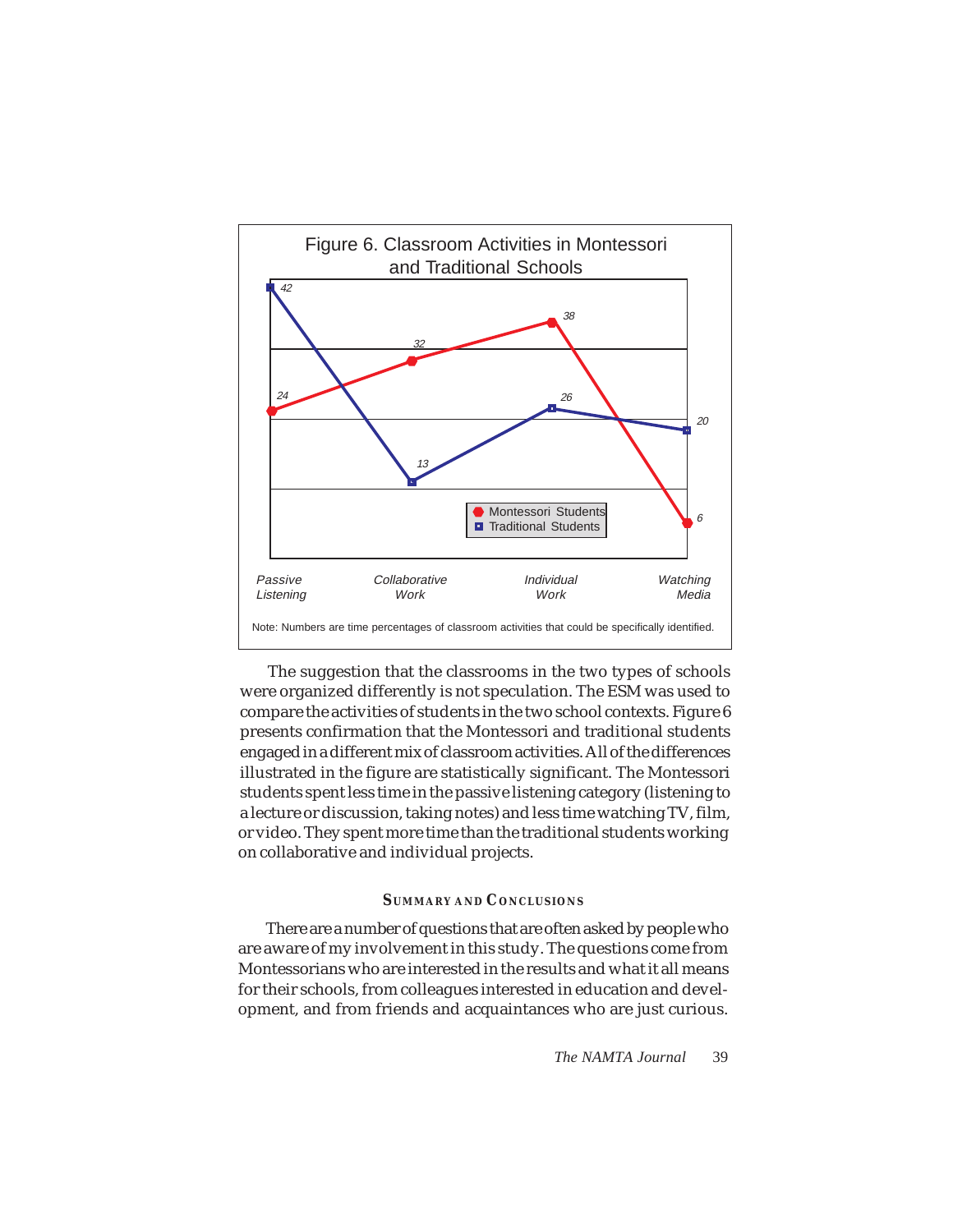

The suggestion that the classrooms in the two types of schools were organized differently is not speculation. The ESM was used to compare the activities of students in the two school contexts. Figure 6 presents confirmation that the Montessori and traditional students engaged in a different mix of classroom activities. All of the differences illustrated in the figure are statistically significant. The Montessori students spent less time in the passive listening category (listening to a lecture or discussion, taking notes) and less time watching TV, film, or video. They spent more time than the traditional students working on collaborative and individual projects.

# **SUMMARY AND CONCLUSIONS**

There are a number of questions that are often asked by people who are aware of my involvement in this study. The questions come from Montessorians who are interested in the results and what it all means for their schools, from colleagues interested in education and development, and from friends and acquaintances who are just curious.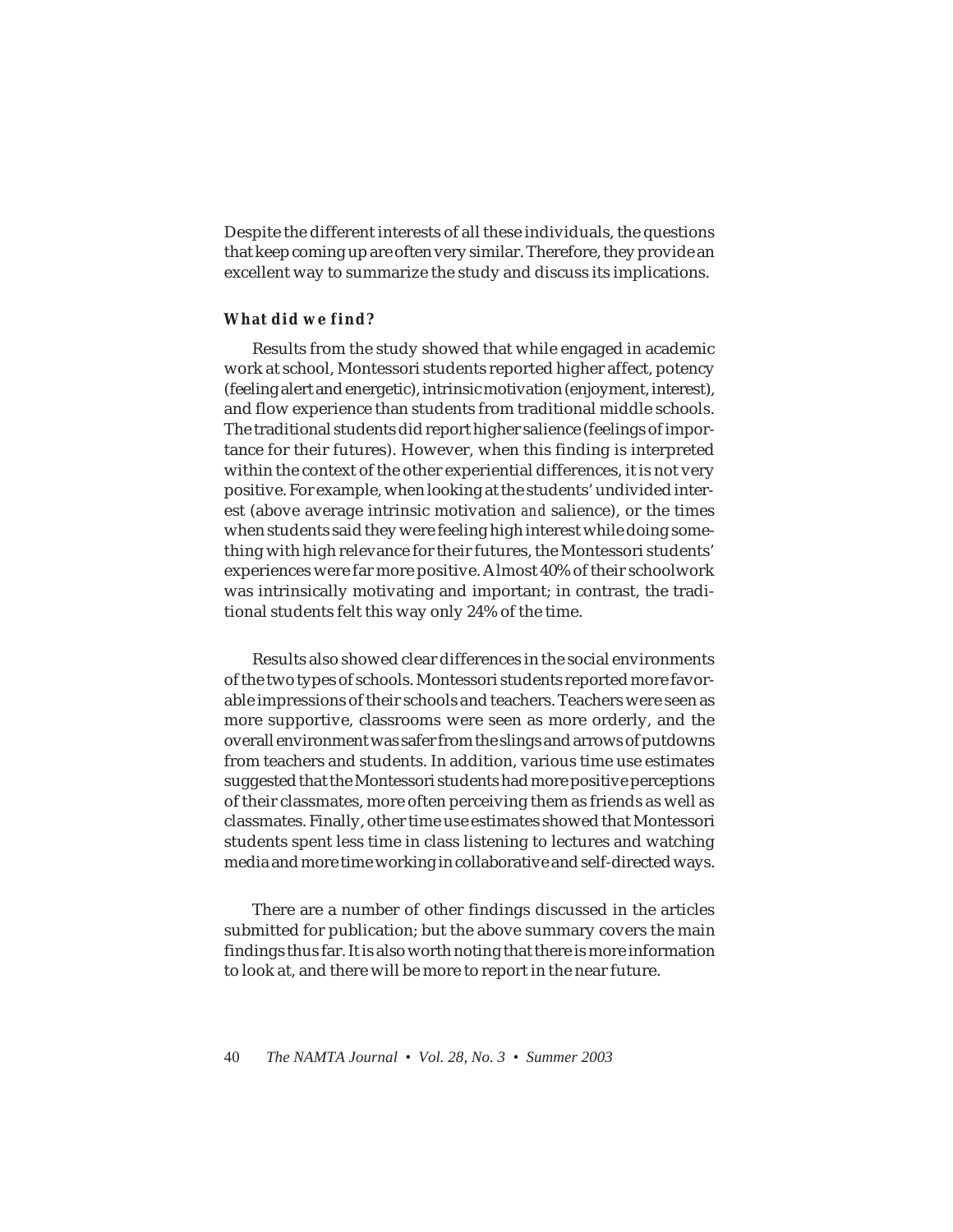Despite the different interests of all these individuals, the questions that keep coming up are often very similar. Therefore, they provide an excellent way to summarize the study and discuss its implications.

#### **What did we find?**

Results from the study showed that while engaged in academic work at school, Montessori students reported higher affect, potency (feeling alert and energetic), intrinsic motivation (enjoyment, interest), and flow experience than students from traditional middle schools. The traditional students did report higher salience (feelings of importance for their futures). However, when this finding is interpreted within the context of the other experiential differences, it is not very positive. For example, when looking at the students' undivided interest (above average intrinsic motivation *and* salience), or the times when students said they were feeling high interest while doing something with high relevance for their futures, the Montessori students' experiences were far more positive. Almost 40% of their schoolwork was intrinsically motivating and important; in contrast, the traditional students felt this way only 24% of the time.

Results also showed clear differences in the social environments of the two types of schools. Montessori students reported more favorable impressions of their schools and teachers. Teachers were seen as more supportive, classrooms were seen as more orderly, and the overall environment was safer from the slings and arrows of putdowns from teachers and students. In addition, various time use estimates suggested that the Montessori students had more positive perceptions of their classmates, more often perceiving them as friends as well as classmates. Finally, other time use estimates showed that Montessori students spent less time in class listening to lectures and watching media and more time working in collaborative and self-directed ways.

There are a number of other findings discussed in the articles submitted for publication; but the above summary covers the main findings thus far. It is also worth noting that there is more information to look at, and there will be more to report in the near future.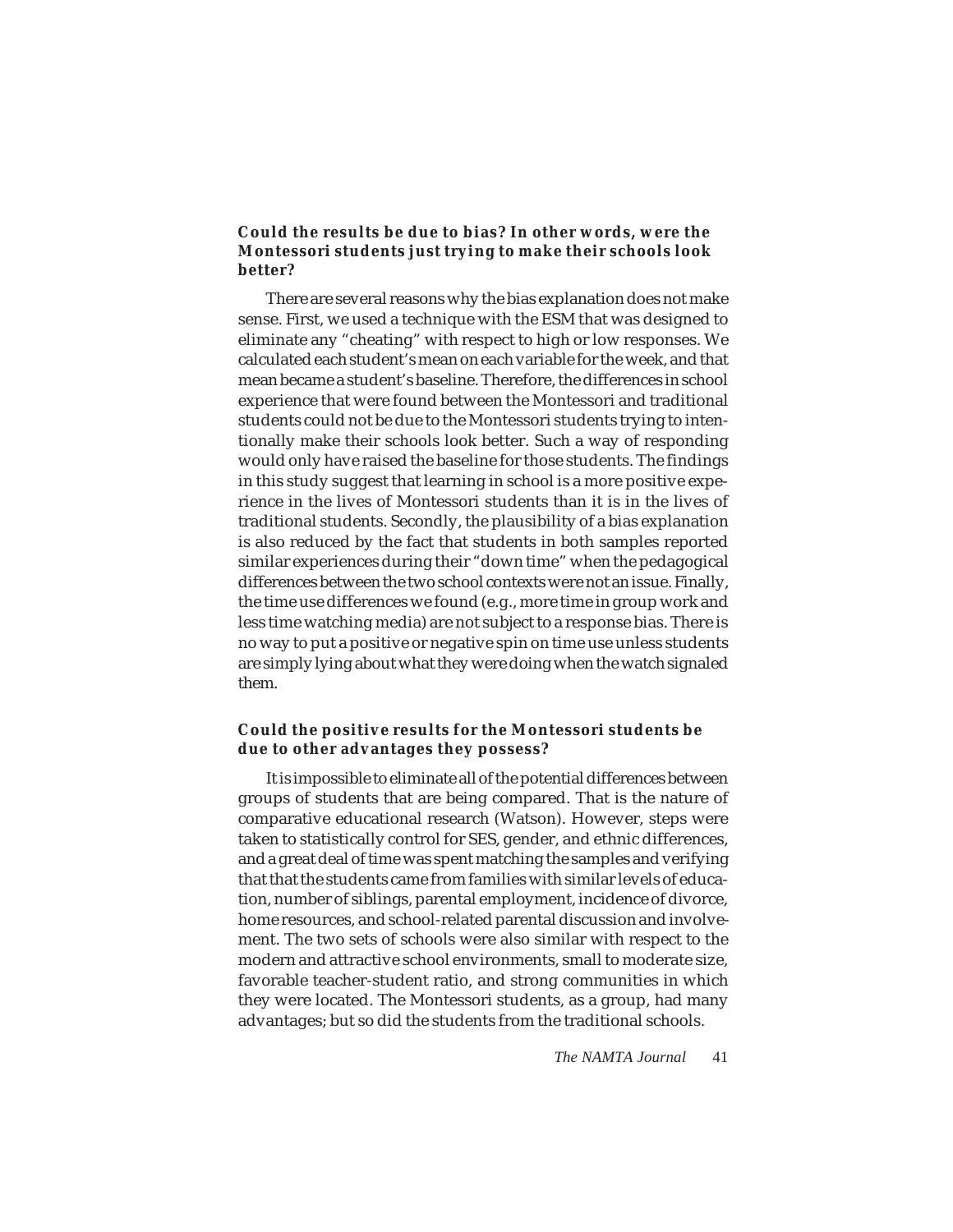# **Could the results be due to bias? In other words, were the Montessori students just trying to make their schools look better?**

There are several reasons why the bias explanation does not make sense. First, we used a technique with the ESM that was designed to eliminate any "cheating" with respect to high or low responses. We calculated each student's mean on each variable for the week, and that mean became a student's baseline. Therefore, the differences in school experience that were found between the Montessori and traditional students could not be due to the Montessori students trying to intentionally make their schools look better. Such a way of responding would only have raised the baseline for those students. The findings in this study suggest that learning in school is a more positive experience in the lives of Montessori students than it is in the lives of traditional students. Secondly, the plausibility of a bias explanation is also reduced by the fact that students in both samples reported similar experiences during their "down time" when the pedagogical differences between the two school contexts were not an issue. Finally, the time use differences we found (e.g., more time in group work and less time watching media) are not subject to a response bias. There is no way to put a positive or negative spin on time use unless students are simply lying about what they were doing when the watch signaled them.

# **Could the positive results for the Montessori students be due to other advantages they possess?**

It is impossible to eliminate all of the potential differences between groups of students that are being compared. That is the nature of comparative educational research (Watson). However, steps were taken to statistically control for SES, gender, and ethnic differences, and a great deal of time was spent matching the samples and verifying that that the students came from families with similar levels of education, number of siblings, parental employment, incidence of divorce, home resources, and school-related parental discussion and involvement. The two sets of schools were also similar with respect to the modern and attractive school environments, small to moderate size, favorable teacher-student ratio, and strong communities in which they were located. The Montessori students, as a group, had many advantages; but so did the students from the traditional schools.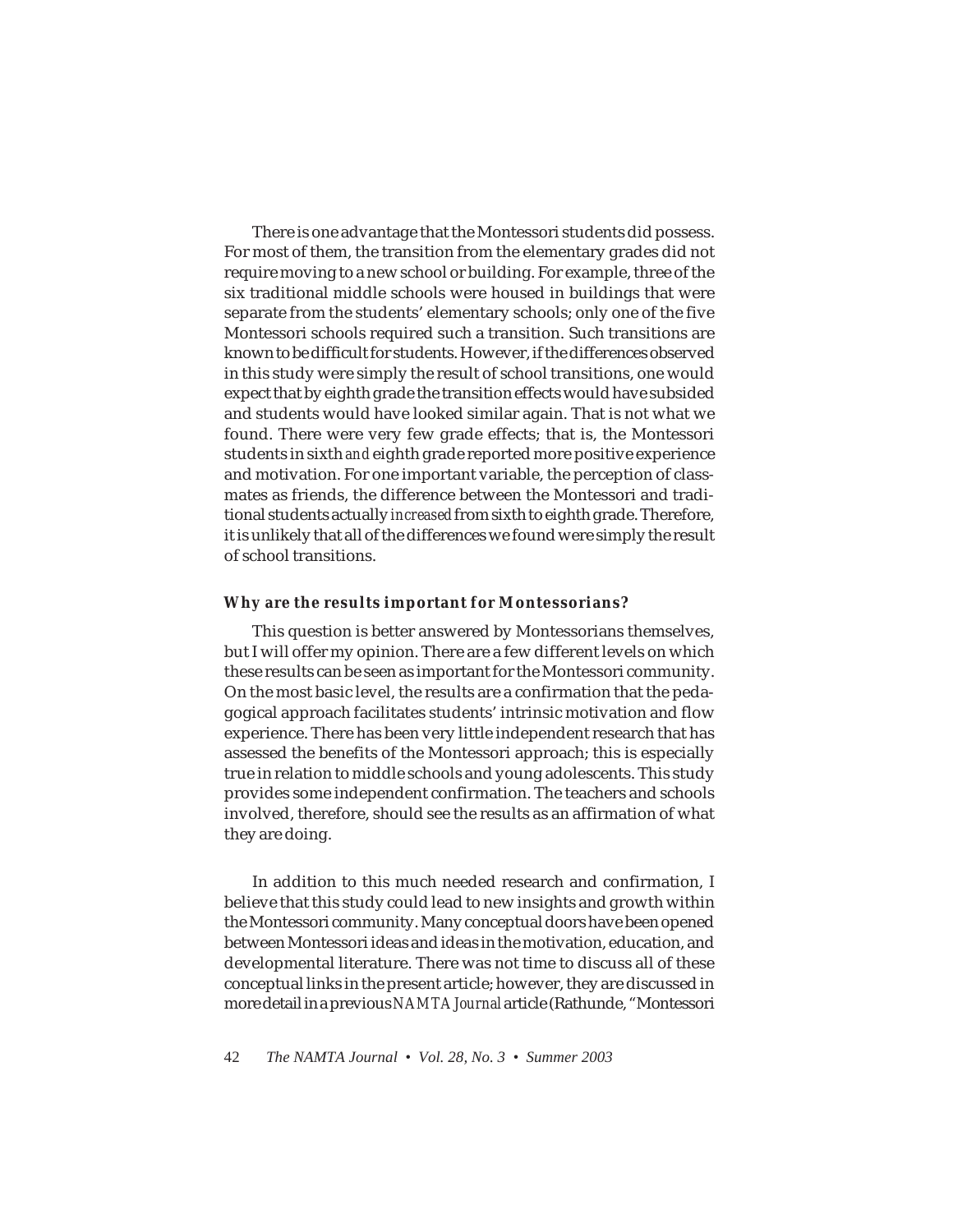There is one advantage that the Montessori students did possess. For most of them, the transition from the elementary grades did not require moving to a new school or building. For example, three of the six traditional middle schools were housed in buildings that were separate from the students' elementary schools; only one of the five Montessori schools required such a transition. Such transitions are known to be difficult for students. However, if the differences observed in this study were simply the result of school transitions, one would expect that by eighth grade the transition effects would have subsided and students would have looked similar again. That is not what we found. There were very few grade effects; that is, the Montessori students in sixth *and* eighth grade reported more positive experience and motivation. For one important variable, the perception of classmates as friends, the difference between the Montessori and traditional students actually *increased* from sixth to eighth grade. Therefore, it is unlikely that all of the differences we found were simply the result of school transitions.

#### **Why are the results important for Montessorians?**

This question is better answered by Montessorians themselves, but I will offer my opinion. There are a few different levels on which these results can be seen as important for the Montessori community. On the most basic level, the results are a confirmation that the pedagogical approach facilitates students' intrinsic motivation and flow experience. There has been very little independent research that has assessed the benefits of the Montessori approach; this is especially true in relation to middle schools and young adolescents. This study provides some independent confirmation. The teachers and schools involved, therefore, should see the results as an affirmation of what they are doing.

In addition to this much needed research and confirmation, I believe that this study could lead to new insights and growth within the Montessori community. Many conceptual doors have been opened between Montessori ideas and ideas in the motivation, education, and developmental literature. There was not time to discuss all of these conceptual links in the present article; however, they are discussed in more detail in a previous *NAMTA Journal* article (Rathunde, "Montessori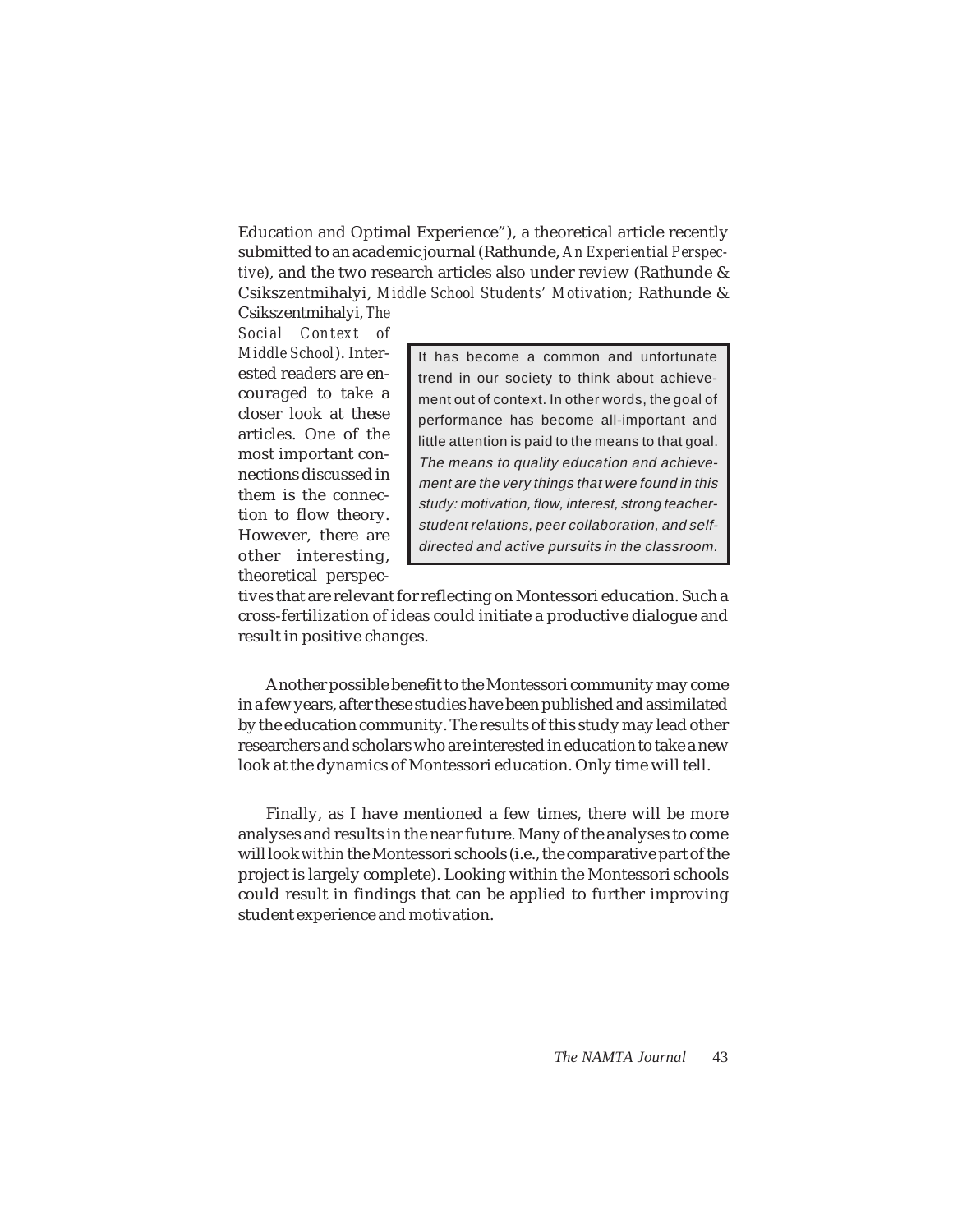Education and Optimal Experience"), a theoretical article recently submitted to an academic journal (Rathunde, *An Experiential Perspective*), and the two research articles also under review (Rathunde & Csikszentmihalyi, *Middle School Students' Motivation;* Rathunde & Csikszentmihalyi, *The*

*Social Context of Middle School*). Interested readers are encouraged to take a closer look at these articles. One of the most important connections discussed in them is the connection to flow theory. However, there are other interesting, theoretical perspec-

It has become a common and unfortunate trend in our society to think about achievement out of context. In other words, the goal of performance has become all-important and little attention is paid to the means to that goal. The means to quality education and achievement are the very things that were found in this study: motivation, flow, interest, strong teacherstudent relations, peer collaboration, and selfdirected and active pursuits in the classroom.

tives that are relevant for reflecting on Montessori education. Such a cross-fertilization of ideas could initiate a productive dialogue and result in positive changes.

Another possible benefit to the Montessori community may come in a few years, after these studies have been published and assimilated by the education community. The results of this study may lead other researchers and scholars who are interested in education to take a new look at the dynamics of Montessori education. Only time will tell.

Finally, as I have mentioned a few times, there will be more analyses and results in the near future. Many of the analyses to come will look *within* the Montessori schools (i.e., the comparative part of the project is largely complete). Looking within the Montessori schools could result in findings that can be applied to further improving student experience and motivation.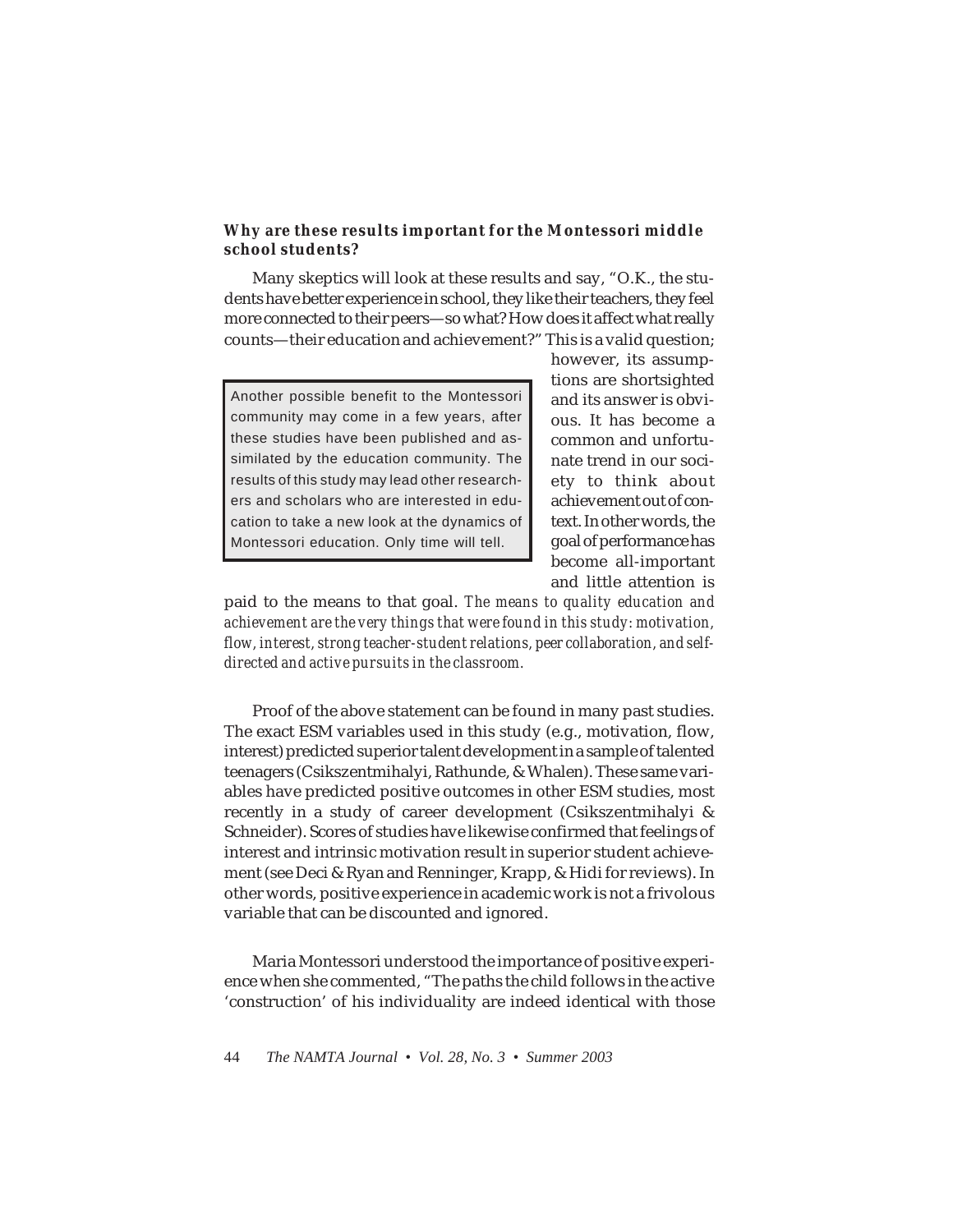# **Why are these results important for the Montessori middle school students?**

Many skeptics will look at these results and say, "O.K., the students have better experience in school, they like their teachers, they feel more connected to their peers—so what? How does it affect what really counts—their education and achievement?" This is a valid question;

Another possible benefit to the Montessori community may come in a few years, after these studies have been published and assimilated by the education community. The results of this study may lead other researchers and scholars who are interested in education to take a new look at the dynamics of Montessori education. Only time will tell.

however, its assumptions are shortsighted and its answer is obvious. It has become a common and unfortunate trend in our society to think about achievement out of context. In other words, the goal of performance has become all-important and little attention is

paid to the means to that goal. *The means to quality education and achievement are the very things that were found in this study: motivation, flow, interest, strong teacher-student relations, peer collaboration, and selfdirected and active pursuits in the classroom.*

Proof of the above statement can be found in many past studies. The exact ESM variables used in this study (e.g., motivation, flow, interest) predicted superior talent development in a sample of talented teenagers (Csikszentmihalyi, Rathunde, & Whalen). These same variables have predicted positive outcomes in other ESM studies, most recently in a study of career development (Csikszentmihalyi & Schneider). Scores of studies have likewise confirmed that feelings of interest and intrinsic motivation result in superior student achievement (see Deci & Ryan and Renninger, Krapp, & Hidi for reviews). In other words, positive experience in academic work is not a frivolous variable that can be discounted and ignored.

Maria Montessori understood the importance of positive experience when she commented, "The paths the child follows in the active 'construction' of his individuality are indeed identical with those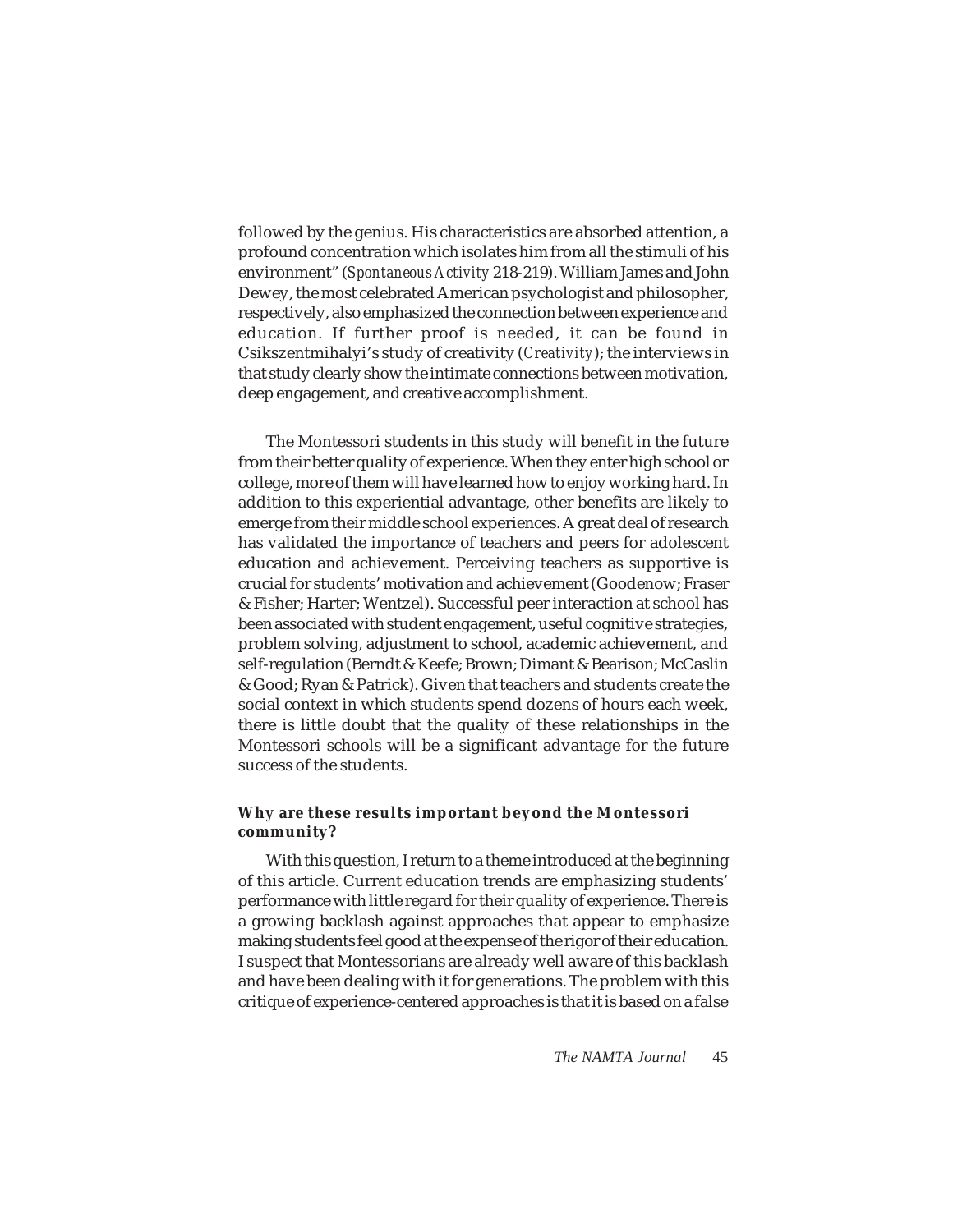followed by the genius. His characteristics are absorbed attention, a profound concentration which isolates him from all the stimuli of his environment" (*Spontaneous Activity* 218-219). William James and John Dewey, the most celebrated American psychologist and philosopher, respectively, also emphasized the connection between experience and education. If further proof is needed, it can be found in Csikszentmihalyi's study of creativity (*Creativity*); the interviews in that study clearly show the intimate connections between motivation, deep engagement, and creative accomplishment.

The Montessori students in this study will benefit in the future from their better quality of experience. When they enter high school or college, more of them will have learned how to enjoy working hard. In addition to this experiential advantage, other benefits are likely to emerge from their middle school experiences. A great deal of research has validated the importance of teachers and peers for adolescent education and achievement. Perceiving teachers as supportive is crucial for students' motivation and achievement (Goodenow; Fraser & Fisher; Harter; Wentzel). Successful peer interaction at school has been associated with student engagement, useful cognitive strategies, problem solving, adjustment to school, academic achievement, and self-regulation (Berndt & Keefe; Brown; Dimant & Bearison; McCaslin & Good; Ryan & Patrick). Given that teachers and students create the social context in which students spend dozens of hours each week, there is little doubt that the quality of these relationships in the Montessori schools will be a significant advantage for the future success of the students.

# **Why are these results important beyond the Montessori community?**

With this question, I return to a theme introduced at the beginning of this article. Current education trends are emphasizing students' performance with little regard for their quality of experience. There is a growing backlash against approaches that appear to emphasize making students feel good at the expense of the rigor of their education. I suspect that Montessorians are already well aware of this backlash and have been dealing with it for generations. The problem with this critique of experience-centered approaches is that it is based on a false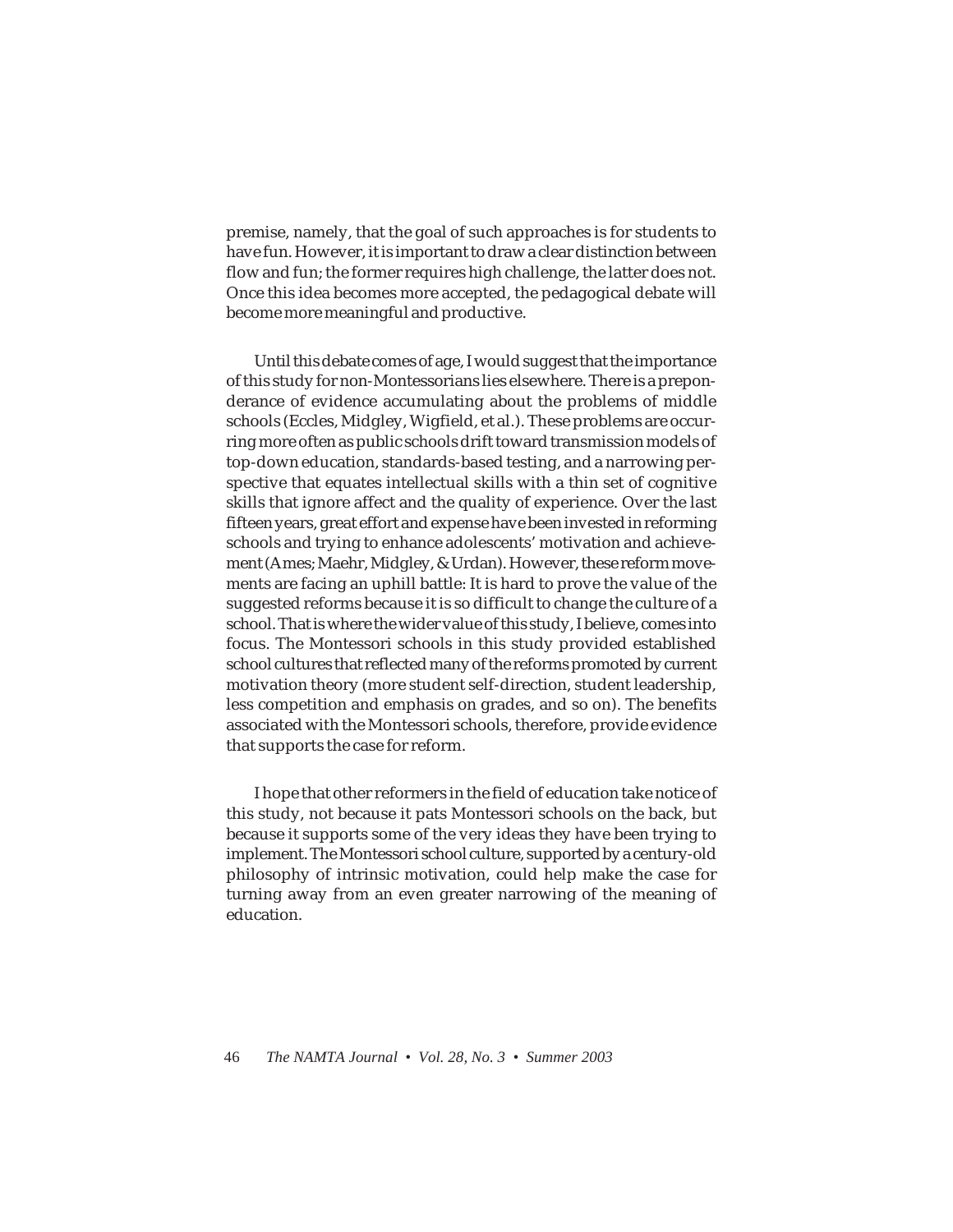premise, namely, that the goal of such approaches is for students to have fun. However, it is important to draw a clear distinction between flow and fun; the former requires high challenge, the latter does not. Once this idea becomes more accepted, the pedagogical debate will become more meaningful and productive.

Until this debate comes of age, I would suggest that the importance of this study for non-Montessorians lies elsewhere. There is a preponderance of evidence accumulating about the problems of middle schools (Eccles, Midgley, Wigfield, et al.). These problems are occurring more often as public schools drift toward transmission models of top-down education, standards-based testing, and a narrowing perspective that equates intellectual skills with a thin set of cognitive skills that ignore affect and the quality of experience. Over the last fifteen years, great effort and expense have been invested in reforming schools and trying to enhance adolescents' motivation and achievement (Ames; Maehr, Midgley, & Urdan). However, these reform movements are facing an uphill battle: It is hard to prove the value of the suggested reforms because it is so difficult to change the culture of a school. That is where the wider value of this study, I believe, comes into focus. The Montessori schools in this study provided established school cultures that reflected many of the reforms promoted by current motivation theory (more student self-direction, student leadership, less competition and emphasis on grades, and so on). The benefits associated with the Montessori schools, therefore, provide evidence that supports the case for reform.

I hope that other reformers in the field of education take notice of this study, not because it pats Montessori schools on the back, but because it supports some of the very ideas they have been trying to implement. The Montessori school culture, supported by a century-old philosophy of intrinsic motivation, could help make the case for turning away from an even greater narrowing of the meaning of education.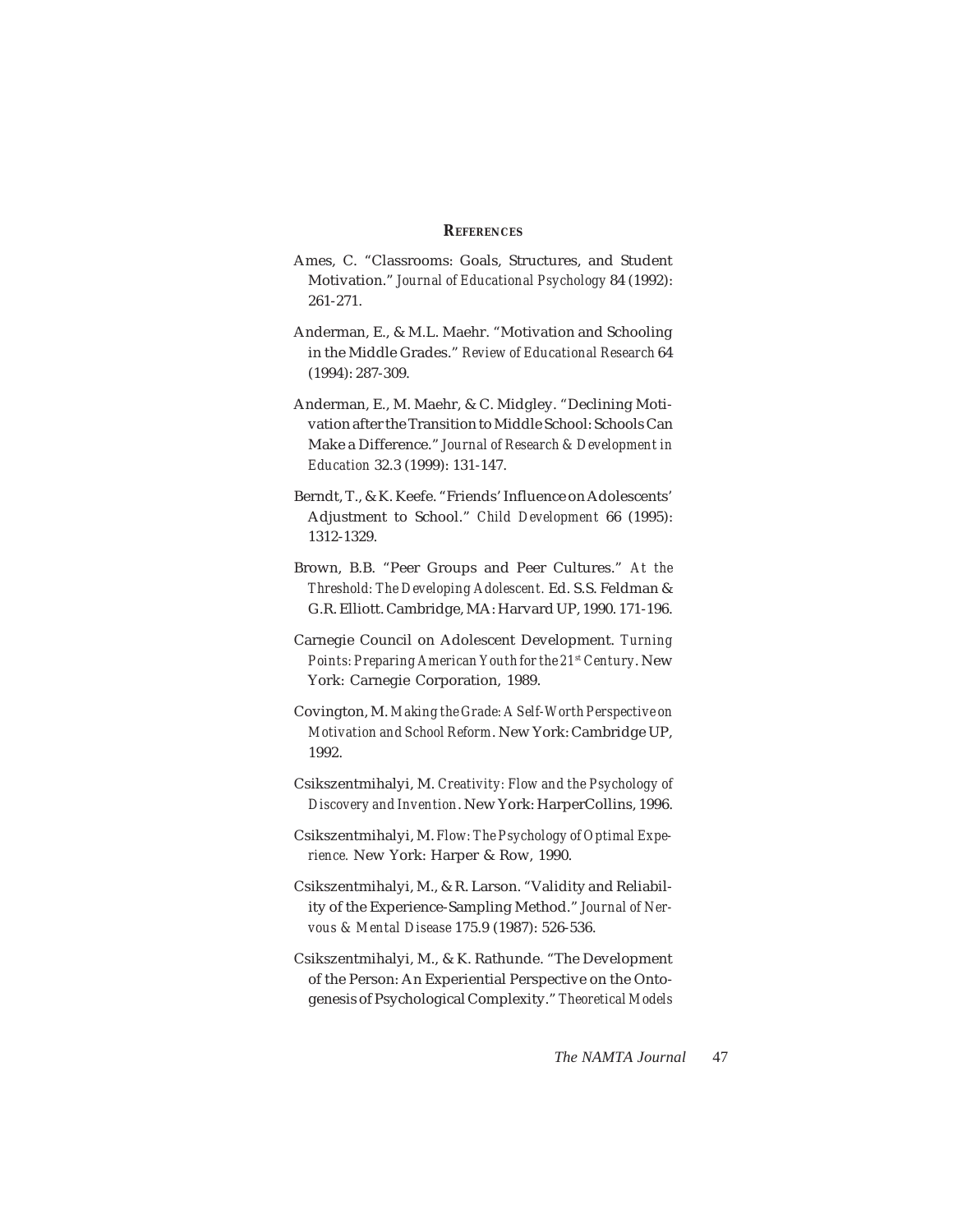#### **REFERENCES**

- Ames, C. "Classrooms: Goals, Structures, and Student Motivation." *Journal of Educational Psychology* 84 (1992): 261-271.
- Anderman, E., & M.L. Maehr. "Motivation and Schooling in the Middle Grades." *Review of Educational Research* 64 (1994): 287-309.
- Anderman, E., M. Maehr, & C. Midgley. "Declining Motivation after the Transition to Middle School: Schools Can Make a Difference." *Journal of Research & Development in Education* 32.3 (1999): 131-147.
- Berndt, T., & K. Keefe. "Friends' Influence on Adolescents' Adjustment to School." *Child Development* 66 (1995): 1312-1329.
- Brown, B.B. "Peer Groups and Peer Cultures." *At the Threshold: The Developing Adolescent.* Ed. S.S. Feldman & G.R. Elliott. Cambridge, MA: Harvard UP, 1990. 171-196.
- Carnegie Council on Adolescent Development. *Turning Points: Preparing American Youth for the 21st Century*. New York: Carnegie Corporation, 1989.
- Covington, M. *Making the Grade: A Self-Worth Perspective on Motivation and School Reform*. New York: Cambridge UP, 1992.
- Csikszentmihalyi, M. *Creativity: Flow and the Psychology of Discovery and Invention*. New York: HarperCollins, 1996.
- Csikszentmihalyi, M. *Flow: The Psychology of Optimal Experience.* New York: Harper & Row, 1990.
- Csikszentmihalyi, M., & R. Larson. "Validity and Reliability of the Experience-Sampling Method." *Journal of Nervous & Mental Disease* 175.9 (1987): 526-536.
- Csikszentmihalyi, M., & K. Rathunde. "The Development of the Person: An Experiential Perspective on the Ontogenesis of Psychological Complexity." *Theoretical Models*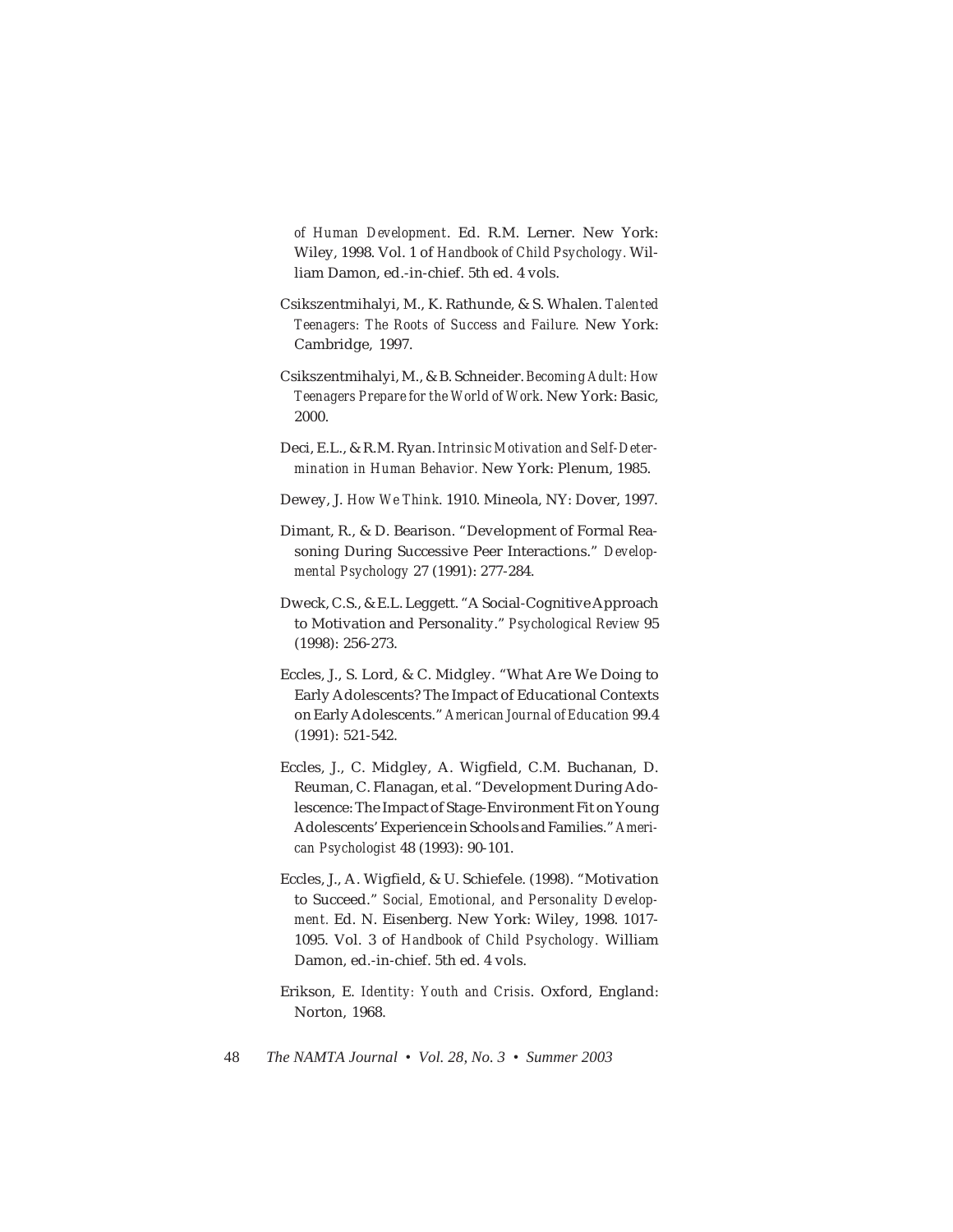*of Human Development*. Ed. R.M. Lerner. New York: Wiley, 1998. Vol. 1 of *Handbook of Child Psychology.* William Damon, ed.-in-chief. 5th ed. 4 vols.

- Csikszentmihalyi, M., K. Rathunde, & S. Whalen. *Talented Teenagers: The Roots of Success and Failure.* New York: Cambridge, 1997.
- Csikszentmihalyi, M., & B. Schneider. *Becoming Adult: How Teenagers Prepare for the World of Work*. New York: Basic, 2000.
- Deci, E.L., & R.M. Ryan. *Intrinsic Motivation and Self-Determination in Human Behavior.* New York: Plenum, 1985.

Dewey, J. *How We Think*. 1910. Mineola, NY: Dover, 1997.

- Dimant, R., & D. Bearison. "Development of Formal Reasoning During Successive Peer Interactions." *Developmental Psychology* 27 (1991): 277-284.
- Dweck, C.S., & E.L. Leggett. "A Social-Cognitive Approach to Motivation and Personality." *Psychological Review* 95 (1998): 256-273.
- Eccles, J., S. Lord, & C. Midgley. "What Are We Doing to Early Adolescents? The Impact of Educational Contexts on Early Adolescents." *American Journal of Education* 99.4 (1991): 521-542.
- Eccles, J., C. Midgley, A. Wigfield, C.M. Buchanan, D. Reuman, C. Flanagan, et al. "Development During Adolescence: The Impact of Stage-Environment Fit on Young Adolescents' Experience in Schools and Families." *American Psychologist* 48 (1993): 90-101.
- Eccles, J., A. Wigfield, & U. Schiefele. (1998). "Motivation to Succeed." *Social, Emotional, and Personality Development.* Ed. N. Eisenberg. New York: Wiley, 1998. 1017- 1095. Vol. 3 of *Handbook of Child Psychology.* William Damon, ed.-in-chief. 5th ed. 4 vols.
- Erikson, E. *Identity: Youth and Crisis*. Oxford, England: Norton, 1968.
- 48 *The NAMTA Journal Vol. 28, No. 3 Summer 2003*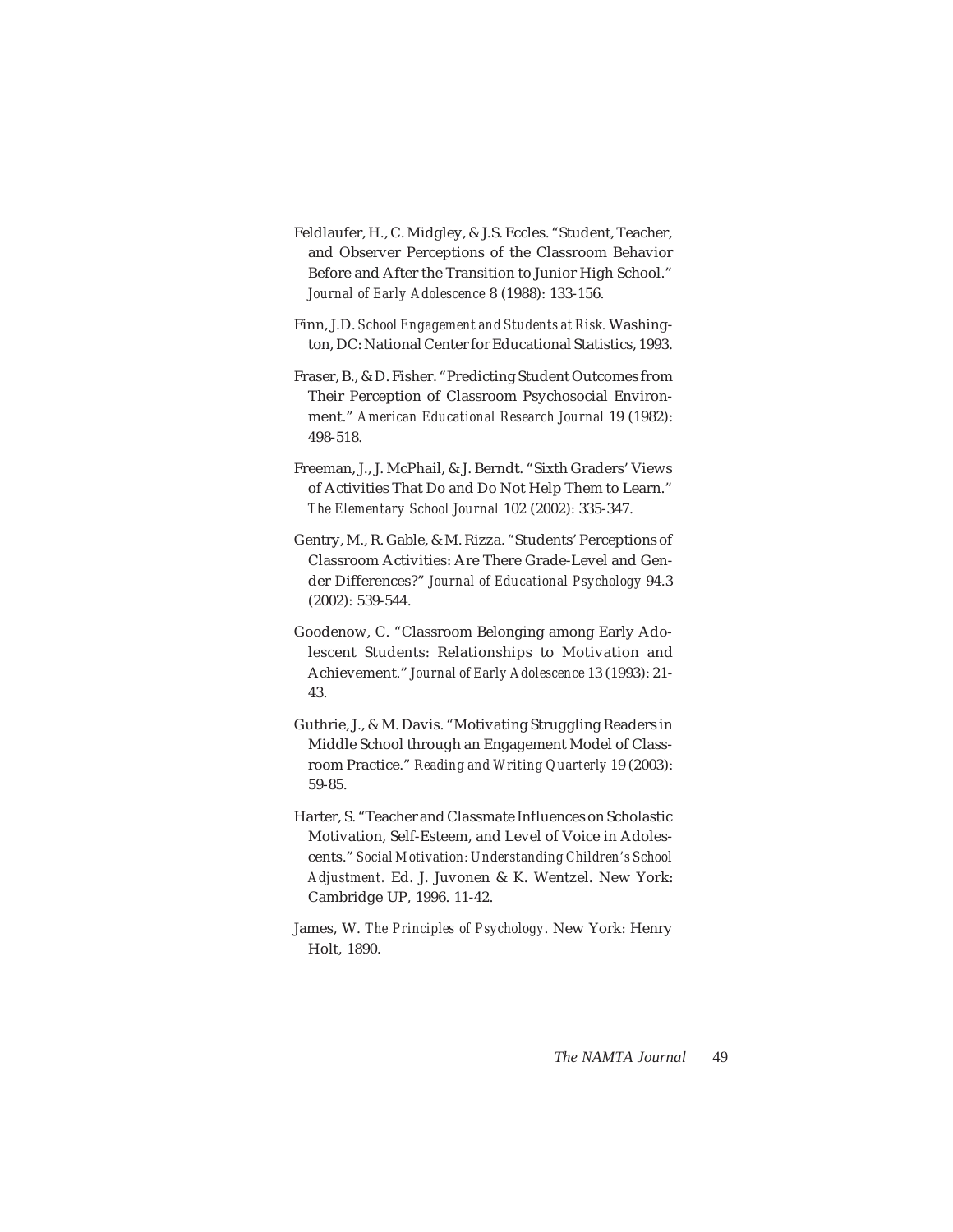- Feldlaufer, H., C. Midgley, & J.S. Eccles. "Student, Teacher, and Observer Perceptions of the Classroom Behavior Before and After the Transition to Junior High School." *Journal of Early Adolescence* 8 (1988): 133-156.
- Finn, J.D. *School Engagement and Students at Risk.* Washington, DC: National Center for Educational Statistics, 1993.
- Fraser, B., & D. Fisher. "Predicting Student Outcomes from Their Perception of Classroom Psychosocial Environment." *American Educational Research Journal* 19 (1982): 498-518.
- Freeman, J., J. McPhail, & J. Berndt. "Sixth Graders' Views of Activities That Do and Do Not Help Them to Learn." *The Elementary School Journal* 102 (2002): 335-347.
- Gentry, M., R. Gable, & M. Rizza. "Students' Perceptions of Classroom Activities: Are There Grade-Level and Gender Differences?" *Journal of Educational Psychology* 94.3 (2002): 539-544.
- Goodenow, C. "Classroom Belonging among Early Adolescent Students: Relationships to Motivation and Achievement." *Journal of Early Adolescence* 13 (1993): 21- 43.
- Guthrie, J., & M. Davis. "Motivating Struggling Readers in Middle School through an Engagement Model of Classroom Practice." *Reading and Writing Quarterly* 19 (2003): 59-85.
- Harter, S. "Teacher and Classmate Influences on Scholastic Motivation, Self-Esteem, and Level of Voice in Adolescents." *Social Motivation: Understanding Children's School Adjustment.* Ed. J. Juvonen & K. Wentzel. New York: Cambridge UP, 1996. 11-42.
- James, W. *The Principles of Psychology*. New York: Henry Holt, 1890.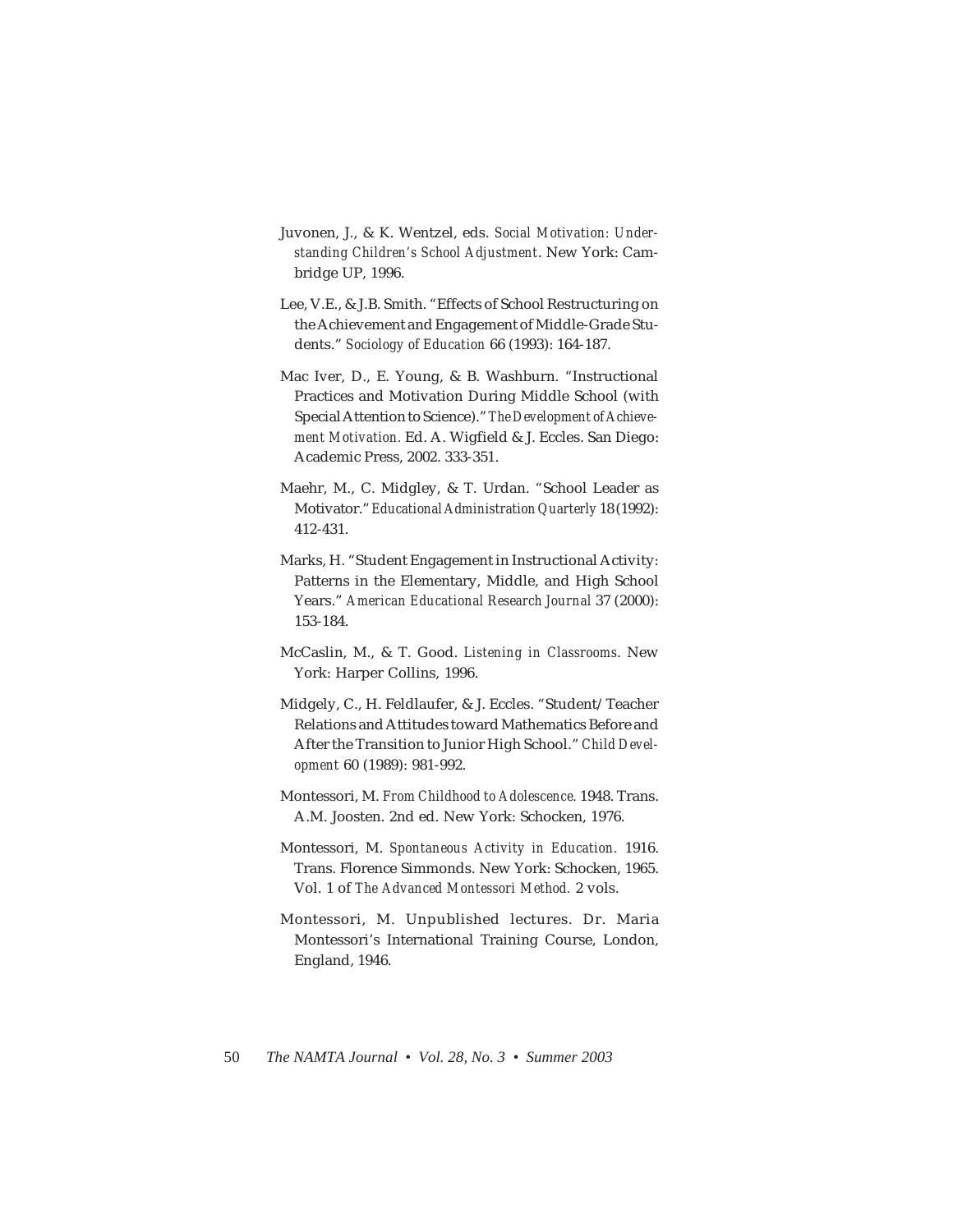- Juvonen, J., & K. Wentzel, eds. *Social Motivation: Understanding Children's School Adjustment*. New York: Cambridge UP, 1996.
- Lee, V.E., & J.B. Smith. "Effects of School Restructuring on the Achievement and Engagement of Middle-Grade Students." *Sociology of Education* 66 (1993): 164-187.
- Mac Iver, D., E. Young, & B. Washburn. "Instructional Practices and Motivation During Middle School (with Special Attention to Science)." *The Development of Achievement Motivation.* Ed. A. Wigfield & J. Eccles. San Diego: Academic Press, 2002. 333-351.
- Maehr, M., C. Midgley, & T. Urdan. "School Leader as Motivator." *Educational Administration Quarterly* 18 (1992): 412-431.
- Marks, H. "Student Engagement in Instructional Activity: Patterns in the Elementary, Middle, and High School Years." *American Educational Research Journal* 37 (2000): 153-184.
- McCaslin, M., & T. Good. *Listening in Classrooms*. New York: Harper Collins, 1996.
- Midgely, C., H. Feldlaufer, & J. Eccles. "Student/Teacher Relations and Attitudes toward Mathematics Before and After the Transition to Junior High School." *Child Development* 60 (1989): 981-992.
- Montessori, M. *From Childhood to Adolescence.* 1948. Trans. A.M. Joosten. 2nd ed. New York: Schocken, 1976.
- Montessori, M. *Spontaneous Activity in Education.* 1916. Trans. Florence Simmonds. New York: Schocken, 1965. Vol. 1 of *The Advanced Montessori Method.* 2 vols.
- Montessori, M. Unpublished lectures. Dr. Maria Montessori's International Training Course, London, England, 1946.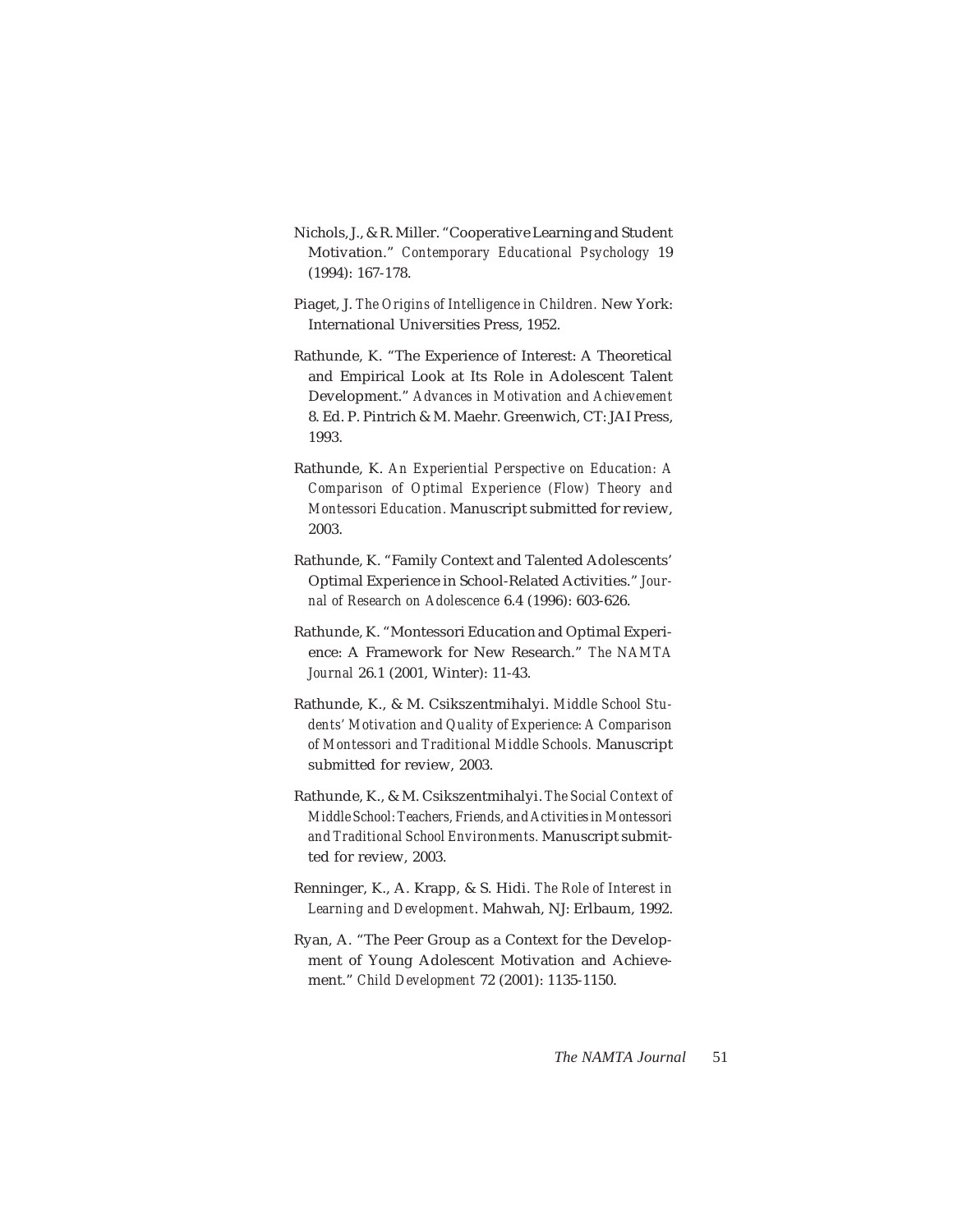- Nichols, J., & R. Miller. "Cooperative Learning and Student Motivation." *Contemporary Educational Psychology* 19 (1994): 167-178.
- Piaget, J. *The Origins of Intelligence in Children.* New York: International Universities Press, 1952.
- Rathunde, K. "The Experience of Interest: A Theoretical and Empirical Look at Its Role in Adolescent Talent Development." *Advances in Motivation and Achievement* 8. Ed. P. Pintrich & M. Maehr. Greenwich, CT: JAI Press, 1993.
- Rathunde, K. *An Experiential Perspective on Education: A Comparison of Optimal Experience (Flow) Theory and Montessori Education.* Manuscript submitted for review, 2003.
- Rathunde, K. "Family Context and Talented Adolescents' Optimal Experience in School-Related Activities." *Journal of Research on Adolescence* 6.4 (1996): 603-626.
- Rathunde, K. "Montessori Education and Optimal Experience: A Framework for New Research." *The NAMTA Journal* 26.1 (2001, Winter): 11-43.
- Rathunde, K., & M. Csikszentmihalyi. *Middle School Students' Motivation and Quality of Experience: A Comparison of Montessori and Traditional Middle Schools.* Manuscript submitted for review, 2003.
- Rathunde, K., & M. Csikszentmihalyi. *The Social Context of Middle School: Teachers, Friends, and Activities in Montessori and Traditional School Environments.* Manuscript submitted for review, 2003.
- Renninger, K., A. Krapp, & S. Hidi. *The Role of Interest in Learning and Development*. Mahwah, NJ: Erlbaum, 1992.
- Ryan, A. "The Peer Group as a Context for the Development of Young Adolescent Motivation and Achievement." *Child Development* 72 (2001): 1135-1150.